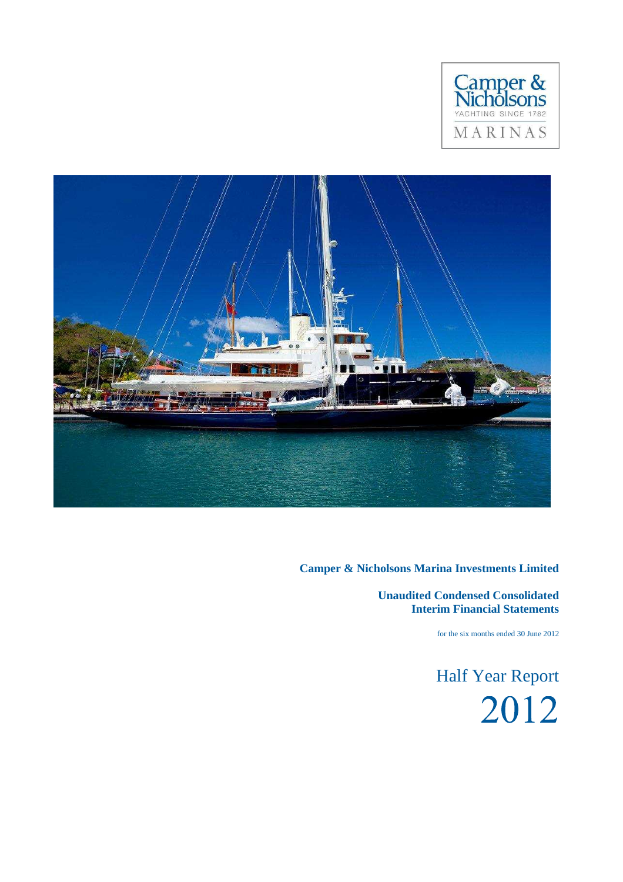



**Unaudited Condensed Consolidated Interim Financial Statements**

for the six months ended 30 June 2012

Half Year Report2012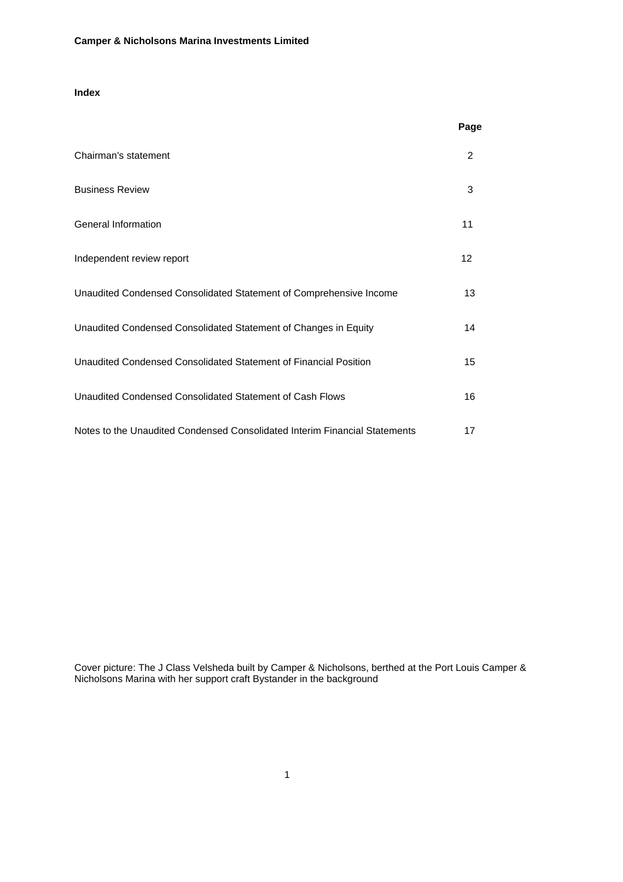# **Index**

|                                                                            | Page |
|----------------------------------------------------------------------------|------|
| Chairman's statement                                                       | 2    |
| <b>Business Review</b>                                                     | 3    |
| <b>General Information</b>                                                 | 11   |
| Independent review report                                                  | 12   |
| Unaudited Condensed Consolidated Statement of Comprehensive Income         | 13   |
| Unaudited Condensed Consolidated Statement of Changes in Equity            | 14   |
| Unaudited Condensed Consolidated Statement of Financial Position           | 15   |
| Unaudited Condensed Consolidated Statement of Cash Flows                   | 16   |
| Notes to the Unaudited Condensed Consolidated Interim Financial Statements | 17   |

Cover picture: The J Class Velsheda built by Camper & Nicholsons, berthed at the Port Louis Camper & Nicholsons Marina with her support craft Bystander in the background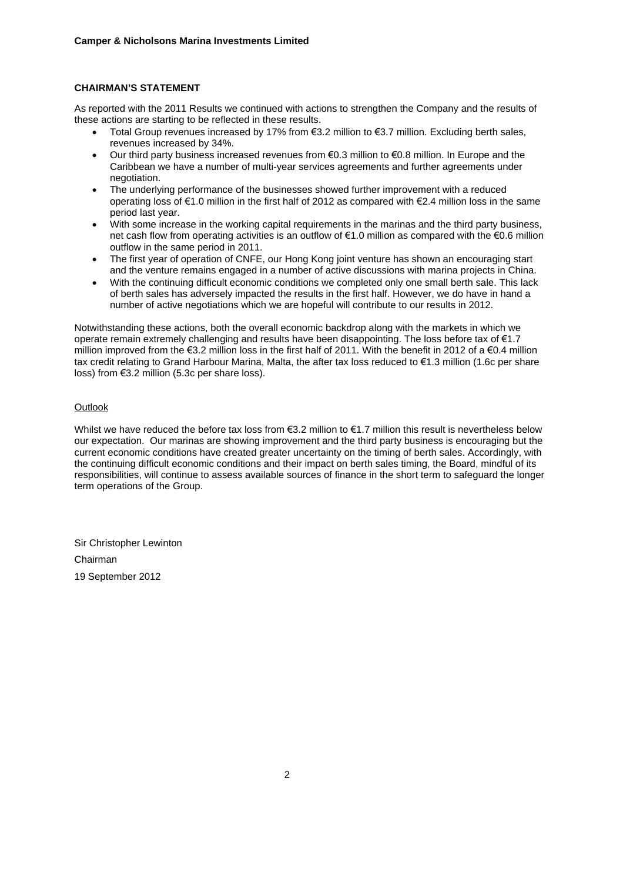# **CHAIRMAN'S STATEMENT**

As reported with the 2011 Results we continued with actions to strengthen the Company and the results of these actions are starting to be reflected in these results.

- Total Group revenues increased by 17% from €3.2 million to €3.7 million. Excluding berth sales, revenues increased by 34%.
- Our third party business increased revenues from  $\epsilon$ 0.3 million to  $\epsilon$ 0.8 million. In Europe and the Caribbean we have a number of multi-year services agreements and further agreements under negotiation.
- The underlying performance of the businesses showed further improvement with a reduced operating loss of €1.0 million in the first half of 2012 as compared with €2.4 million loss in the same period last year.
- With some increase in the working capital requirements in the marinas and the third party business, net cash flow from operating activities is an outflow of €1.0 million as compared with the €0.6 million outflow in the same period in 2011.
- The first year of operation of CNFE, our Hong Kong joint venture has shown an encouraging start and the venture remains engaged in a number of active discussions with marina projects in China.
- With the continuing difficult economic conditions we completed only one small berth sale. This lack of berth sales has adversely impacted the results in the first half. However, we do have in hand a number of active negotiations which we are hopeful will contribute to our results in 2012.

Notwithstanding these actions, both the overall economic backdrop along with the markets in which we operate remain extremely challenging and results have been disappointing. The loss before tax of €1.7 million improved from the  $\epsilon$ 3.2 million loss in the first half of 2011. With the benefit in 2012 of a  $\epsilon$ 0.4 million tax credit relating to Grand Harbour Marina, Malta, the after tax loss reduced to €1.3 million (1.6c per share loss) from €3.2 million (5.3c per share loss).

# **Outlook**

Whilst we have reduced the before tax loss from  $\epsilon$ 3.2 million to  $\epsilon$ 1.7 million this result is nevertheless below our expectation. Our marinas are showing improvement and the third party business is encouraging but the current economic conditions have created greater uncertainty on the timing of berth sales. Accordingly, with the continuing difficult economic conditions and their impact on berth sales timing, the Board, mindful of its responsibilities, will continue to assess available sources of finance in the short term to safeguard the longer term operations of the Group.

Sir Christopher Lewinton Chairman 19 September 2012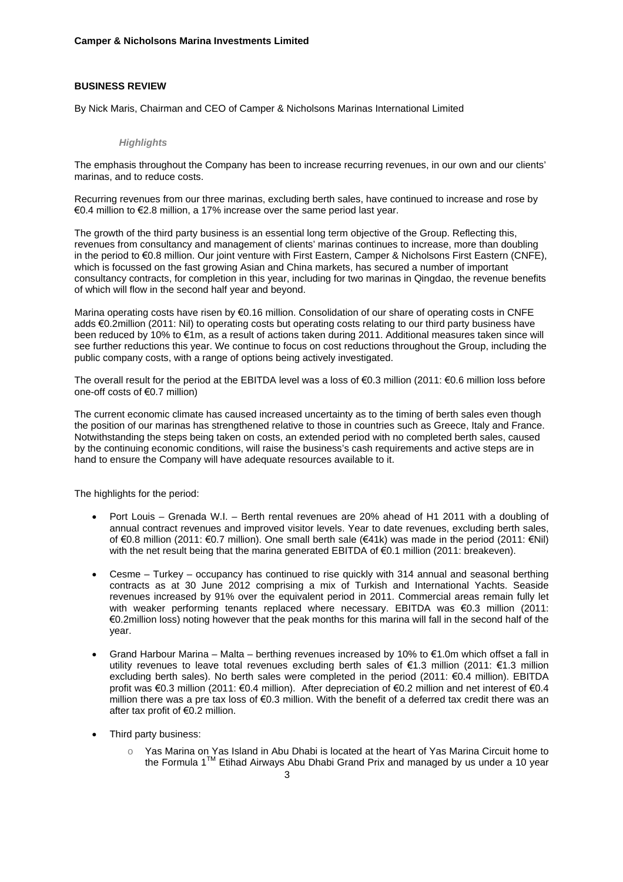### **BUSINESS REVIEW**

By Nick Maris, Chairman and CEO of Camper & Nicholsons Marinas International Limited

#### *Highlights*

The emphasis throughout the Company has been to increase recurring revenues, in our own and our clients' marinas, and to reduce costs.

Recurring revenues from our three marinas, excluding berth sales, have continued to increase and rose by €0.4 million to €2.8 million, a 17% increase over the same period last year.

The growth of the third party business is an essential long term objective of the Group. Reflecting this, revenues from consultancy and management of clients' marinas continues to increase, more than doubling in the period to €0.8 million. Our joint venture with First Eastern, Camper & Nicholsons First Eastern (CNFE), which is focussed on the fast growing Asian and China markets, has secured a number of important consultancy contracts, for completion in this year, including for two marinas in Qingdao, the revenue benefits of which will flow in the second half year and beyond.

Marina operating costs have risen by €0.16 million. Consolidation of our share of operating costs in CNFE adds €0.2million (2011: Nil) to operating costs but operating costs relating to our third party business have been reduced by 10% to €1m, as a result of actions taken during 2011. Additional measures taken since will see further reductions this year. We continue to focus on cost reductions throughout the Group, including the public company costs, with a range of options being actively investigated.

The overall result for the period at the EBITDA level was a loss of  $\epsilon$ 0.3 million (2011:  $\epsilon$ 0.6 million loss before one-off costs of €0.7 million)

The current economic climate has caused increased uncertainty as to the timing of berth sales even though the position of our marinas has strengthened relative to those in countries such as Greece, Italy and France. Notwithstanding the steps being taken on costs, an extended period with no completed berth sales, caused by the continuing economic conditions, will raise the business's cash requirements and active steps are in hand to ensure the Company will have adequate resources available to it.

The highlights for the period:

- Port Louis Grenada W.I. Berth rental revenues are 20% ahead of H1 2011 with a doubling of annual contract revenues and improved visitor levels. Year to date revenues, excluding berth sales, of €0.8 million (2011: €0.7 million). One small berth sale (€41k) was made in the period (2011: €Nil) with the net result being that the marina generated EBITDA of €0.1 million (2011: breakeven).
- Cesme Turkey occupancy has continued to rise quickly with 314 annual and seasonal berthing contracts as at 30 June 2012 comprising a mix of Turkish and International Yachts. Seaside revenues increased by 91% over the equivalent period in 2011. Commercial areas remain fully let with weaker performing tenants replaced where necessary. EBITDA was €0.3 million (2011: €0.2million loss) noting however that the peak months for this marina will fall in the second half of the year.
- Grand Harbour Marina Malta berthing revenues increased by 10% to €1.0m which offset a fall in utility revenues to leave total revenues excluding berth sales of €1.3 million (2011: €1.3 million excluding berth sales). No berth sales were completed in the period (2011: €0.4 million). EBITDA profit was €0.3 million (2011: €0.4 million). After depreciation of €0.2 million and net interest of €0.4 million there was a pre tax loss of  $\epsilon$ 0.3 million. With the benefit of a deferred tax credit there was an after tax profit of €0.2 million.
- Third party business:
	- o Yas Marina on Yas Island in Abu Dhabi is located at the heart of Yas Marina Circuit home to the Formula  $1<sup>TM</sup>$  Etihad Airways Abu Dhabi Grand Prix and managed by us under a 10 year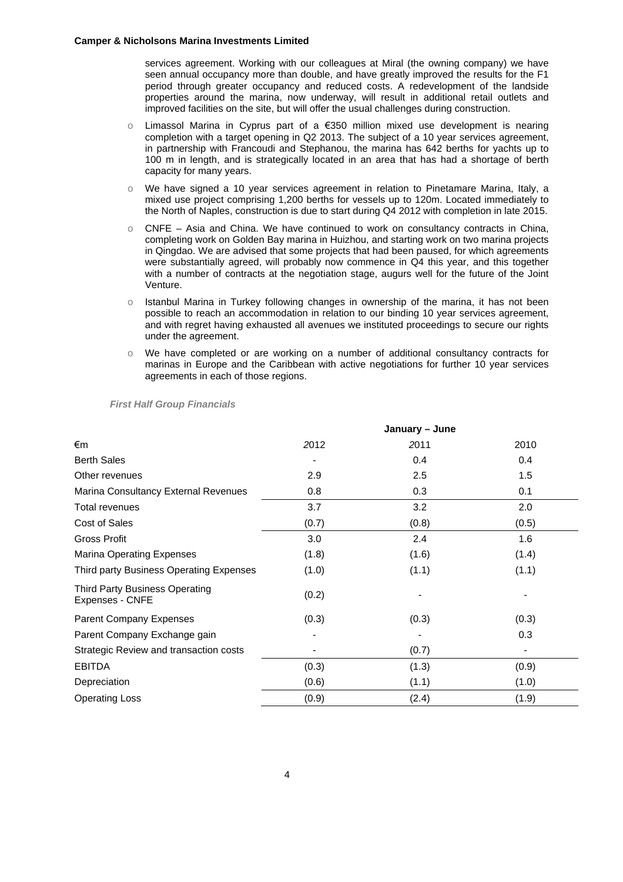services agreement. Working with our colleagues at Miral (the owning company) we have seen annual occupancy more than double, and have greatly improved the results for the F1 period through greater occupancy and reduced costs. A redevelopment of the landside properties around the marina, now underway, will result in additional retail outlets and improved facilities on the site, but will offer the usual challenges during construction.

- Limassol Marina in Cyprus part of a  $€350$  million mixed use development is nearing completion with a target opening in Q2 2013. The subject of a 10 year services agreement, in partnership with Francoudi and Stephanou, the marina has 642 berths for yachts up to 100 m in length, and is strategically located in an area that has had a shortage of berth capacity for many years.
- o We have signed a 10 year services agreement in relation to Pinetamare Marina, Italy, a mixed use project comprising 1,200 berths for vessels up to 120m. Located immediately to the North of Naples, construction is due to start during Q4 2012 with completion in late 2015.
- $\circ$  CNFE Asia and China. We have continued to work on consultancy contracts in China, completing work on Golden Bay marina in Huizhou, and starting work on two marina projects in Qingdao. We are advised that some projects that had been paused, for which agreements were substantially agreed, will probably now commence in Q4 this year, and this together with a number of contracts at the negotiation stage, augurs well for the future of the Joint Venture.
- o Istanbul Marina in Turkey following changes in ownership of the marina, it has not been possible to reach an accommodation in relation to our binding 10 year services agreement, and with regret having exhausted all avenues we instituted proceedings to secure our rights under the agreement.
- o We have completed or are working on a number of additional consultancy contracts for marinas in Europe and the Caribbean with active negotiations for further 10 year services agreements in each of those regions.

|                                                          | January – June |       |       |  |
|----------------------------------------------------------|----------------|-------|-------|--|
| €m                                                       | 2012           | 2011  | 2010  |  |
| <b>Berth Sales</b>                                       |                | 0.4   | 0.4   |  |
| Other revenues                                           | 2.9            | 2.5   | 1.5   |  |
| Marina Consultancy External Revenues                     | 0.8            | 0.3   | 0.1   |  |
| <b>Total revenues</b>                                    | 3.7            | 3.2   | 2.0   |  |
| Cost of Sales                                            | (0.7)          | (0.8) | (0.5) |  |
| <b>Gross Profit</b>                                      | 3.0            | 2.4   | 1.6   |  |
| <b>Marina Operating Expenses</b>                         | (1.8)          | (1.6) | (1.4) |  |
| Third party Business Operating Expenses                  | (1.0)          | (1.1) | (1.1) |  |
| <b>Third Party Business Operating</b><br>Expenses - CNFE | (0.2)          |       |       |  |
| Parent Company Expenses                                  | (0.3)          | (0.3) | (0.3) |  |
| Parent Company Exchange gain                             |                |       | 0.3   |  |
| Strategic Review and transaction costs                   |                | (0.7) |       |  |
| <b>EBITDA</b>                                            | (0.3)          | (1.3) | (0.9) |  |
| Depreciation                                             | (0.6)          | (1.1) | (1.0) |  |
| <b>Operating Loss</b>                                    | (0.9)          | (2.4) | (1.9) |  |

#### *First Half Group Financials*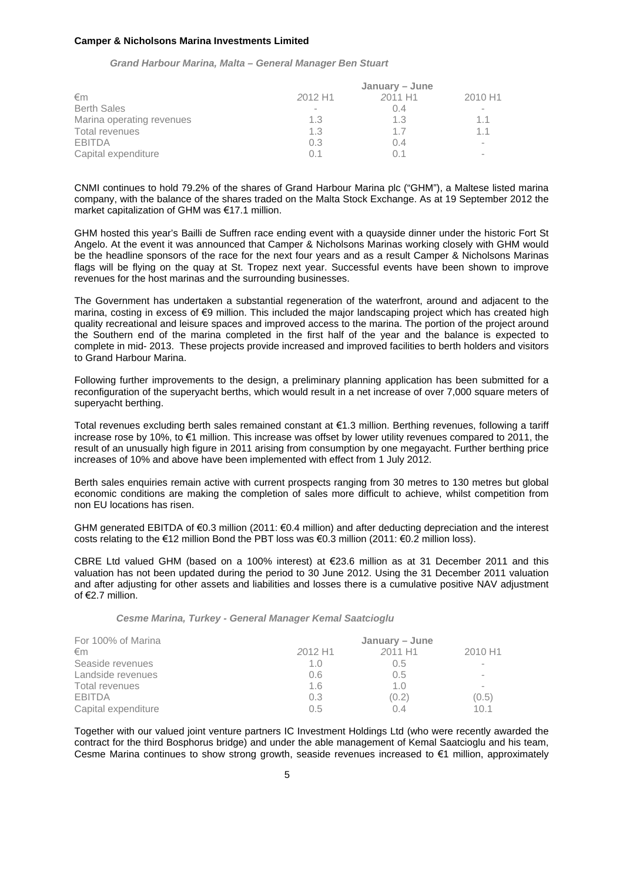#### *Grand Harbour Marina, Malta – General Manager Ben Stuart*

|                           | January – June                            |       |                          |  |  |
|---------------------------|-------------------------------------------|-------|--------------------------|--|--|
| €m                        | 2012 H1<br>2011 H <sub>1</sub><br>2010 H1 |       |                          |  |  |
| <b>Berth Sales</b>        |                                           | 0.4   | $\overline{\phantom{a}}$ |  |  |
| Marina operating revenues | 1.3                                       | 1.3   | 11                       |  |  |
| Total revenues            | 1.3                                       | 17    | 11                       |  |  |
| <b>EBITDA</b>             | 0.3                                       | (1.4) | $\overline{\phantom{a}}$ |  |  |
| Capital expenditure       | 01                                        |       | $\overline{\phantom{a}}$ |  |  |

CNMI continues to hold 79.2% of the shares of Grand Harbour Marina plc ("GHM"), a Maltese listed marina company, with the balance of the shares traded on the Malta Stock Exchange. As at 19 September 2012 the market capitalization of GHM was €17.1 million.

GHM hosted this year's Bailli de Suffren race ending event with a quayside dinner under the historic Fort St Angelo. At the event it was announced that Camper & Nicholsons Marinas working closely with GHM would be the headline sponsors of the race for the next four years and as a result Camper & Nicholsons Marinas flags will be flying on the quay at St. Tropez next year. Successful events have been shown to improve revenues for the host marinas and the surrounding businesses.

The Government has undertaken a substantial regeneration of the waterfront, around and adjacent to the marina, costing in excess of €9 million. This included the major landscaping project which has created high quality recreational and leisure spaces and improved access to the marina. The portion of the project around the Southern end of the marina completed in the first half of the year and the balance is expected to complete in mid- 2013. These projects provide increased and improved facilities to berth holders and visitors to Grand Harbour Marina.

Following further improvements to the design, a preliminary planning application has been submitted for a reconfiguration of the superyacht berths, which would result in a net increase of over 7,000 square meters of superyacht berthing.

Total revenues excluding berth sales remained constant at €1.3 million. Berthing revenues, following a tariff increase rose by 10%, to €1 million. This increase was offset by lower utility revenues compared to 2011, the result of an unusually high figure in 2011 arising from consumption by one megayacht. Further berthing price increases of 10% and above have been implemented with effect from 1 July 2012.

Berth sales enquiries remain active with current prospects ranging from 30 metres to 130 metres but global economic conditions are making the completion of sales more difficult to achieve, whilst competition from non EU locations has risen.

GHM generated EBITDA of €0.3 million (2011: €0.4 million) and after deducting depreciation and the interest costs relating to the €12 million Bond the PBT loss was €0.3 million (2011: €0.2 million loss).

CBRE Ltd valued GHM (based on a 100% interest) at €23.6 million as at 31 December 2011 and this valuation has not been updated during the period to 30 June 2012. Using the 31 December 2011 valuation and after adjusting for other assets and liabilities and losses there is a cumulative positive NAV adjustment of €2.7 million.

|  |  |  | Cesme Marina, Turkey - General Manager Kemal Saatcioglu |
|--|--|--|---------------------------------------------------------|
|  |  |  |                                                         |

| For 100% of Marina  | January – June |                |                          |
|---------------------|----------------|----------------|--------------------------|
| €m                  | 2012 H1        | 2011 H1        | 2010 H1                  |
| Seaside revenues    | 1.0            | 0.5            |                          |
| Landside revenues   | 0.6            | 0.5            | $\overline{\phantom{a}}$ |
| Total revenues      | 1.6            | 1 <sub>0</sub> |                          |
| <b>EBITDA</b>       | 0.3            | (0.2)          | (0.5)                    |
| Capital expenditure | 0.5            | 0 4            | 101                      |

Together with our valued joint venture partners IC Investment Holdings Ltd (who were recently awarded the contract for the third Bosphorus bridge) and under the able management of Kemal Saatcioglu and his team, Cesme Marina continues to show strong growth, seaside revenues increased to €1 million, approximately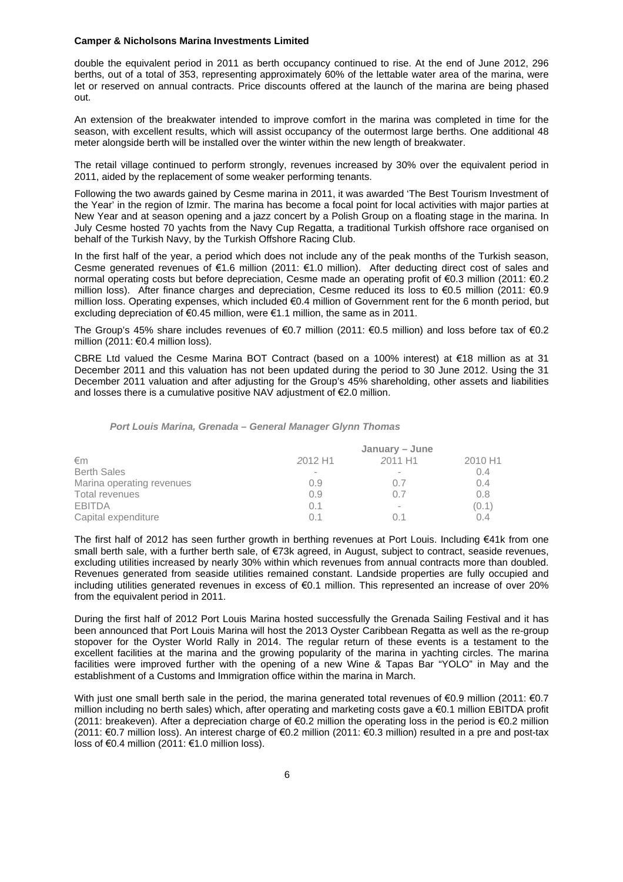double the equivalent period in 2011 as berth occupancy continued to rise. At the end of June 2012, 296 berths, out of a total of 353, representing approximately 60% of the lettable water area of the marina, were let or reserved on annual contracts. Price discounts offered at the launch of the marina are being phased out.

An extension of the breakwater intended to improve comfort in the marina was completed in time for the season, with excellent results, which will assist occupancy of the outermost large berths. One additional 48 meter alongside berth will be installed over the winter within the new length of breakwater.

The retail village continued to perform strongly, revenues increased by 30% over the equivalent period in 2011, aided by the replacement of some weaker performing tenants.

Following the two awards gained by Cesme marina in 2011, it was awarded 'The Best Tourism Investment of the Year' in the region of Izmir. The marina has become a focal point for local activities with major parties at New Year and at season opening and a jazz concert by a Polish Group on a floating stage in the marina. In July Cesme hosted 70 yachts from the Navy Cup Regatta, a traditional Turkish offshore race organised on behalf of the Turkish Navy, by the Turkish Offshore Racing Club.

In the first half of the year, a period which does not include any of the peak months of the Turkish season, Cesme generated revenues of €1.6 million (2011: €1.0 million). After deducting direct cost of sales and normal operating costs but before depreciation, Cesme made an operating profit of €0.3 million (2011: €0.2 million loss). After finance charges and depreciation, Cesme reduced its loss to €0.5 million (2011: €0.9 million loss. Operating expenses, which included €0.4 million of Government rent for the 6 month period, but excluding depreciation of €0.45 million, were €1.1 million, the same as in 2011.

The Group's 45% share includes revenues of €0.7 million (2011: €0.5 million) and loss before tax of €0.2 million (2011: €0.4 million loss).

CBRE Ltd valued the Cesme Marina BOT Contract (based on a 100% interest) at €18 million as at 31 December 2011 and this valuation has not been updated during the period to 30 June 2012. Using the 31 December 2011 valuation and after adjusting for the Group's 45% shareholding, other assets and liabilities and losses there is a cumulative positive NAV adjustment of €2.0 million.

#### *Port Louis Marina, Grenada – General Manager Glynn Thomas*

|                           | January – June |            |         |  |
|---------------------------|----------------|------------|---------|--|
| €m                        | 2012 H1        | 2011 H1    | 2010 H1 |  |
| <b>Berth Sales</b>        |                |            | 0.4     |  |
| Marina operating revenues | 0.9            | $()$ . $/$ | 0.4     |  |
| Total revenues            | 0.9            | 0.7        | 0.8     |  |
| <b>EBITDA</b>             | 0.1            | ۰          | (0.1)   |  |
| Capital expenditure       | $\Omega$ 1     | 01         | 0.4     |  |

The first half of 2012 has seen further growth in berthing revenues at Port Louis. Including €41k from one small berth sale, with a further berth sale, of €73k agreed, in August, subject to contract, seaside revenues, excluding utilities increased by nearly 30% within which revenues from annual contracts more than doubled. Revenues generated from seaside utilities remained constant. Landside properties are fully occupied and including utilities generated revenues in excess of €0.1 million. This represented an increase of over 20% from the equivalent period in 2011.

During the first half of 2012 Port Louis Marina hosted successfully the Grenada Sailing Festival and it has been announced that Port Louis Marina will host the 2013 Oyster Caribbean Regatta as well as the re-group stopover for the Oyster World Rally in 2014. The regular return of these events is a testament to the excellent facilities at the marina and the growing popularity of the marina in yachting circles. The marina facilities were improved further with the opening of a new Wine & Tapas Bar "YOLO" in May and the establishment of a Customs and Immigration office within the marina in March.

With just one small berth sale in the period, the marina generated total revenues of €0.9 million (2011: €0.7 million including no berth sales) which, after operating and marketing costs gave a €0.1 million EBITDA profit (2011: breakeven). After a depreciation charge of €0.2 million the operating loss in the period is €0.2 million (2011: €0.7 million loss). An interest charge of €0.2 million (2011: €0.3 million) resulted in a pre and post-tax loss of €0.4 million (2011: €1.0 million loss).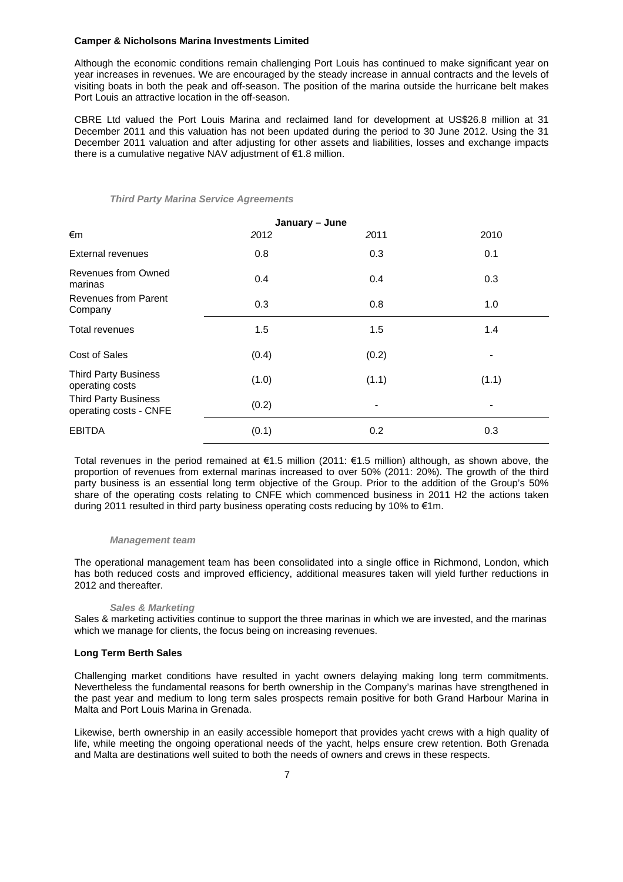Although the economic conditions remain challenging Port Louis has continued to make significant year on year increases in revenues. We are encouraged by the steady increase in annual contracts and the levels of visiting boats in both the peak and off-season. The position of the marina outside the hurricane belt makes Port Louis an attractive location in the off-season.

CBRE Ltd valued the Port Louis Marina and reclaimed land for development at US\$26.8 million at 31 December 2011 and this valuation has not been updated during the period to 30 June 2012. Using the 31 December 2011 valuation and after adjusting for other assets and liabilities, losses and exchange impacts there is a cumulative negative NAV adjustment of €1.8 million.

#### *Third Party Marina Service Agreements*

|                                                       | January - June |       |                          |
|-------------------------------------------------------|----------------|-------|--------------------------|
| €m                                                    | 2012           | 2011  | 2010                     |
| External revenues                                     | 0.8            | 0.3   | 0.1                      |
| Revenues from Owned<br>marinas                        | 0.4            | 0.4   | 0.3                      |
| <b>Revenues from Parent</b><br>Company                | 0.3            | 0.8   | 1.0                      |
| Total revenues                                        | 1.5            | 1.5   | 1.4                      |
| <b>Cost of Sales</b>                                  | (0.4)          | (0.2) |                          |
| <b>Third Party Business</b><br>operating costs        | (1.0)          | (1.1) | (1.1)                    |
| <b>Third Party Business</b><br>operating costs - CNFE | (0.2)          |       | $\overline{\phantom{a}}$ |
| <b>EBITDA</b>                                         | (0.1)          | 0.2   | 0.3                      |

Total revenues in the period remained at €1.5 million (2011: €1.5 million) although, as shown above, the proportion of revenues from external marinas increased to over 50% (2011: 20%). The growth of the third party business is an essential long term objective of the Group. Prior to the addition of the Group's 50% share of the operating costs relating to CNFE which commenced business in 2011 H2 the actions taken during 2011 resulted in third party business operating costs reducing by 10% to  $\epsilon$ 1m.

#### *Management team*

The operational management team has been consolidated into a single office in Richmond, London, which has both reduced costs and improved efficiency, additional measures taken will yield further reductions in 2012 and thereafter.

#### *Sales & Marketing*

Sales & marketing activities continue to support the three marinas in which we are invested, and the marinas which we manage for clients, the focus being on increasing revenues.

#### **Long Term Berth Sales**

Challenging market conditions have resulted in yacht owners delaying making long term commitments. Nevertheless the fundamental reasons for berth ownership in the Company's marinas have strengthened in the past year and medium to long term sales prospects remain positive for both Grand Harbour Marina in Malta and Port Louis Marina in Grenada.

Likewise, berth ownership in an easily accessible homeport that provides yacht crews with a high quality of life, while meeting the ongoing operational needs of the yacht, helps ensure crew retention. Both Grenada and Malta are destinations well suited to both the needs of owners and crews in these respects.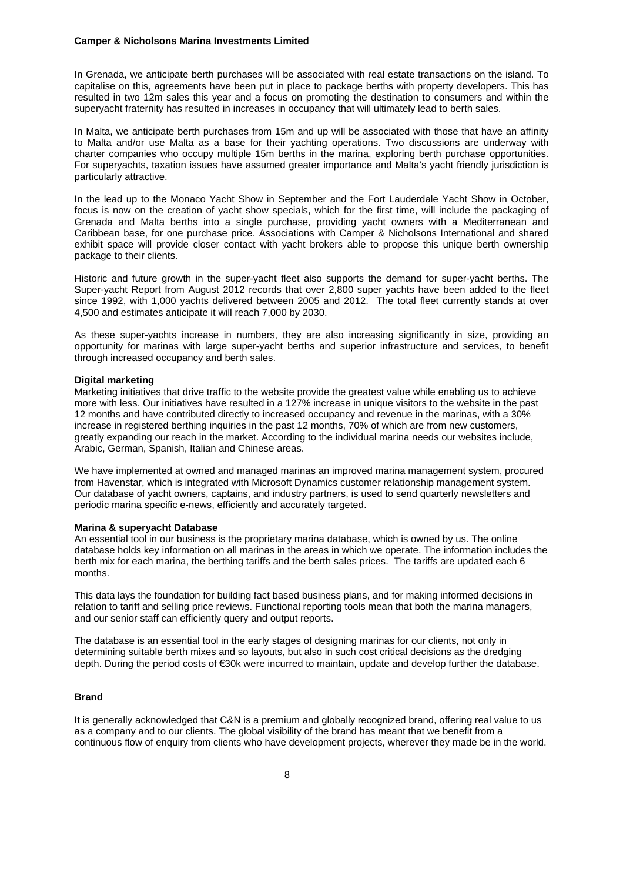In Grenada, we anticipate berth purchases will be associated with real estate transactions on the island. To capitalise on this, agreements have been put in place to package berths with property developers. This has resulted in two 12m sales this year and a focus on promoting the destination to consumers and within the superyacht fraternity has resulted in increases in occupancy that will ultimately lead to berth sales.

In Malta, we anticipate berth purchases from 15m and up will be associated with those that have an affinity to Malta and/or use Malta as a base for their yachting operations. Two discussions are underway with charter companies who occupy multiple 15m berths in the marina, exploring berth purchase opportunities. For superyachts, taxation issues have assumed greater importance and Malta's yacht friendly jurisdiction is particularly attractive.

In the lead up to the Monaco Yacht Show in September and the Fort Lauderdale Yacht Show in October, focus is now on the creation of yacht show specials, which for the first time, will include the packaging of Grenada and Malta berths into a single purchase, providing yacht owners with a Mediterranean and Caribbean base, for one purchase price. Associations with Camper & Nicholsons International and shared exhibit space will provide closer contact with yacht brokers able to propose this unique berth ownership package to their clients.

Historic and future growth in the super-yacht fleet also supports the demand for super-yacht berths. The Super-yacht Report from August 2012 records that over 2,800 super yachts have been added to the fleet since 1992, with 1,000 yachts delivered between 2005 and 2012. The total fleet currently stands at over 4,500 and estimates anticipate it will reach 7,000 by 2030.

As these super-yachts increase in numbers, they are also increasing significantly in size, providing an opportunity for marinas with large super-yacht berths and superior infrastructure and services, to benefit through increased occupancy and berth sales.

#### **Digital marketing**

Marketing initiatives that drive traffic to the website provide the greatest value while enabling us to achieve more with less. Our initiatives have resulted in a 127% increase in unique visitors to the website in the past 12 months and have contributed directly to increased occupancy and revenue in the marinas, with a 30% increase in registered berthing inquiries in the past 12 months, 70% of which are from new customers, greatly expanding our reach in the market. According to the individual marina needs our websites include, Arabic, German, Spanish, Italian and Chinese areas.

We have implemented at owned and managed marinas an improved marina management system, procured from Havenstar, which is integrated with Microsoft Dynamics customer relationship management system. Our database of yacht owners, captains, and industry partners, is used to send quarterly newsletters and periodic marina specific e-news, efficiently and accurately targeted.

#### **Marina & superyacht Database**

An essential tool in our business is the proprietary marina database, which is owned by us. The online database holds key information on all marinas in the areas in which we operate. The information includes the berth mix for each marina, the berthing tariffs and the berth sales prices. The tariffs are updated each 6 months.

This data lays the foundation for building fact based business plans, and for making informed decisions in relation to tariff and selling price reviews. Functional reporting tools mean that both the marina managers, and our senior staff can efficiently query and output reports.

The database is an essential tool in the early stages of designing marinas for our clients, not only in determining suitable berth mixes and so layouts, but also in such cost critical decisions as the dredging depth. During the period costs of €30k were incurred to maintain, update and develop further the database.

### **Brand**

It is generally acknowledged that C&N is a premium and globally recognized brand, offering real value to us as a company and to our clients. The global visibility of the brand has meant that we benefit from a continuous flow of enquiry from clients who have development projects, wherever they made be in the world.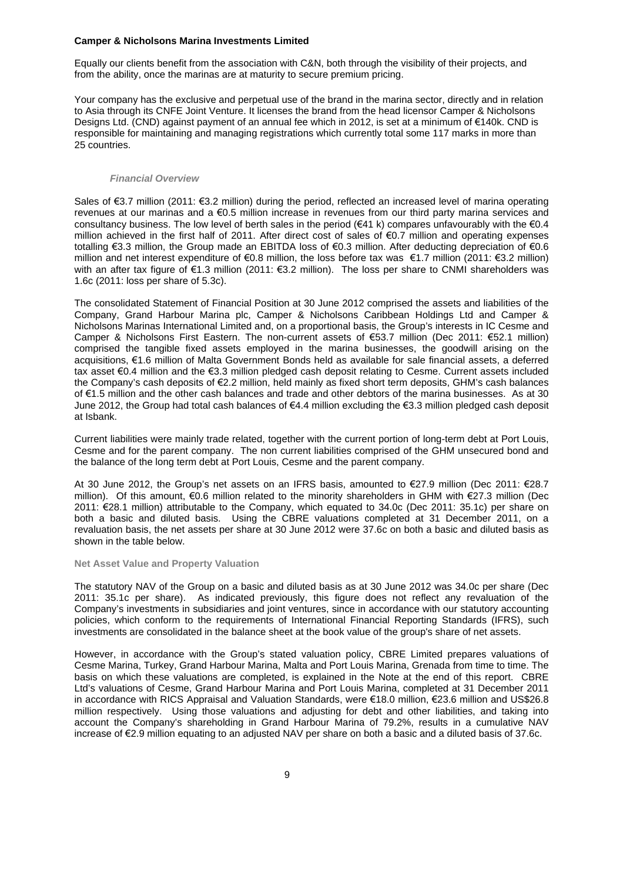Equally our clients benefit from the association with C&N, both through the visibility of their projects, and from the ability, once the marinas are at maturity to secure premium pricing.

Your company has the exclusive and perpetual use of the brand in the marina sector, directly and in relation to Asia through its CNFE Joint Venture. It licenses the brand from the head licensor Camper & Nicholsons Designs Ltd. (CND) against payment of an annual fee which in 2012, is set at a minimum of €140k. CND is responsible for maintaining and managing registrations which currently total some 117 marks in more than 25 countries.

#### *Financial Overview*

Sales of €3.7 million (2011: €3.2 million) during the period, reflected an increased level of marina operating revenues at our marinas and a €0.5 million increase in revenues from our third party marina services and consultancy business. The low level of berth sales in the period (€41 k) compares unfavourably with the  $€0.4$ million achieved in the first half of 2011. After direct cost of sales of €0.7 million and operating expenses totalling €3.3 million, the Group made an EBITDA loss of €0.3 million. After deducting depreciation of €0.6 million and net interest expenditure of €0.8 million, the loss before tax was €1.7 million (2011: €3.2 million) with an after tax figure of €1.3 million (2011: €3.2 million). The loss per share to CNMI shareholders was 1.6c (2011: loss per share of 5.3c).

The consolidated Statement of Financial Position at 30 June 2012 comprised the assets and liabilities of the Company, Grand Harbour Marina plc, Camper & Nicholsons Caribbean Holdings Ltd and Camper & Nicholsons Marinas International Limited and, on a proportional basis, the Group's interests in IC Cesme and Camper & Nicholsons First Eastern. The non-current assets of €53.7 million (Dec 2011: €52.1 million) comprised the tangible fixed assets employed in the marina businesses, the goodwill arising on the acquisitions, €1.6 million of Malta Government Bonds held as available for sale financial assets, a deferred tax asset €0.4 million and the €3.3 million pledged cash deposit relating to Cesme. Current assets included the Company's cash deposits of €2.2 million, held mainly as fixed short term deposits, GHM's cash balances of €1.5 million and the other cash balances and trade and other debtors of the marina businesses. As at 30 June 2012, the Group had total cash balances of €4.4 million excluding the €3.3 million pledged cash deposit at Isbank.

Current liabilities were mainly trade related, together with the current portion of long-term debt at Port Louis, Cesme and for the parent company. The non current liabilities comprised of the GHM unsecured bond and the balance of the long term debt at Port Louis, Cesme and the parent company.

At 30 June 2012, the Group's net assets on an IFRS basis, amounted to €27.9 million (Dec 2011: €28.7 million). Of this amount, €0.6 million related to the minority shareholders in GHM with €27.3 million (Dec 2011: €28.1 million) attributable to the Company, which equated to 34.0c (Dec 2011: 35.1c) per share on both a basic and diluted basis. Using the CBRE valuations completed at 31 December 2011, on a revaluation basis, the net assets per share at 30 June 2012 were 37.6c on both a basic and diluted basis as shown in the table below.

#### **Net Asset Value and Property Valuation**

The statutory NAV of the Group on a basic and diluted basis as at 30 June 2012 was 34.0c per share (Dec 2011: 35.1c per share). As indicated previously, this figure does not reflect any revaluation of the Company's investments in subsidiaries and joint ventures, since in accordance with our statutory accounting policies, which conform to the requirements of International Financial Reporting Standards (IFRS), such investments are consolidated in the balance sheet at the book value of the group's share of net assets.

However, in accordance with the Group's stated valuation policy, CBRE Limited prepares valuations of Cesme Marina, Turkey, Grand Harbour Marina, Malta and Port Louis Marina, Grenada from time to time. The basis on which these valuations are completed, is explained in the Note at the end of this report. CBRE Ltd's valuations of Cesme, Grand Harbour Marina and Port Louis Marina, completed at 31 December 2011 in accordance with RICS Appraisal and Valuation Standards, were €18.0 million, €23.6 million and US\$26.8 million respectively. Using those valuations and adjusting for debt and other liabilities, and taking into account the Company's shareholding in Grand Harbour Marina of 79.2%, results in a cumulative NAV increase of €2.9 million equating to an adjusted NAV per share on both a basic and a diluted basis of 37.6c.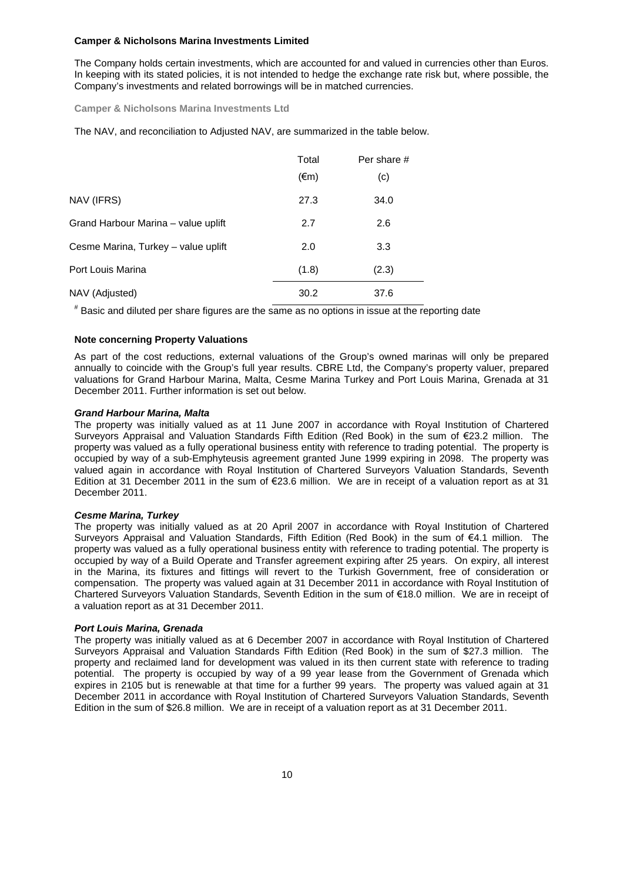The Company holds certain investments, which are accounted for and valued in currencies other than Euros. In keeping with its stated policies, it is not intended to hedge the exchange rate risk but, where possible, the Company's investments and related borrowings will be in matched currencies.

**Camper & Nicholsons Marina Investments Ltd**

The NAV, and reconciliation to Adjusted NAV, are summarized in the table below.

|                                     | Total          | Per share # |  |
|-------------------------------------|----------------|-------------|--|
|                                     | $(\epsilon m)$ | (c)         |  |
| NAV (IFRS)                          | 27.3           | 34.0        |  |
| Grand Harbour Marina – value uplift | 2.7            | 2.6         |  |
| Cesme Marina, Turkey – value uplift | 2.0            | 3.3         |  |
| Port Louis Marina                   | (1.8)          | (2.3)       |  |
| NAV (Adjusted)                      | 30.2           | 37.6        |  |

# Basic and diluted per share figures are the same as no options in issue at the reporting date

### **Note concerning Property Valuations**

As part of the cost reductions, external valuations of the Group's owned marinas will only be prepared annually to coincide with the Group's full year results. CBRE Ltd, the Company's property valuer, prepared valuations for Grand Harbour Marina, Malta, Cesme Marina Turkey and Port Louis Marina, Grenada at 31 December 2011. Further information is set out below.

### *Grand Harbour Marina, Malta*

The property was initially valued as at 11 June 2007 in accordance with Royal Institution of Chartered Surveyors Appraisal and Valuation Standards Fifth Edition (Red Book) in the sum of €23.2 million. The property was valued as a fully operational business entity with reference to trading potential. The property is occupied by way of a sub-Emphyteusis agreement granted June 1999 expiring in 2098. The property was valued again in accordance with Royal Institution of Chartered Surveyors Valuation Standards, Seventh Edition at 31 December 2011 in the sum of €23.6 million. We are in receipt of a valuation report as at 31 December 2011.

### *Cesme Marina, Turkey*

The property was initially valued as at 20 April 2007 in accordance with Royal Institution of Chartered Surveyors Appraisal and Valuation Standards, Fifth Edition (Red Book) in the sum of €4.1 million. The property was valued as a fully operational business entity with reference to trading potential. The property is occupied by way of a Build Operate and Transfer agreement expiring after 25 years. On expiry, all interest in the Marina, its fixtures and fittings will revert to the Turkish Government, free of consideration or compensation. The property was valued again at 31 December 2011 in accordance with Royal Institution of Chartered Surveyors Valuation Standards, Seventh Edition in the sum of €18.0 million. We are in receipt of a valuation report as at 31 December 2011.

### *Port Louis Marina, Grenada*

The property was initially valued as at 6 December 2007 in accordance with Royal Institution of Chartered Surveyors Appraisal and Valuation Standards Fifth Edition (Red Book) in the sum of \$27.3 million. The property and reclaimed land for development was valued in its then current state with reference to trading potential. The property is occupied by way of a 99 year lease from the Government of Grenada which expires in 2105 but is renewable at that time for a further 99 years. The property was valued again at 31 December 2011 in accordance with Royal Institution of Chartered Surveyors Valuation Standards, Seventh Edition in the sum of \$26.8 million. We are in receipt of a valuation report as at 31 December 2011.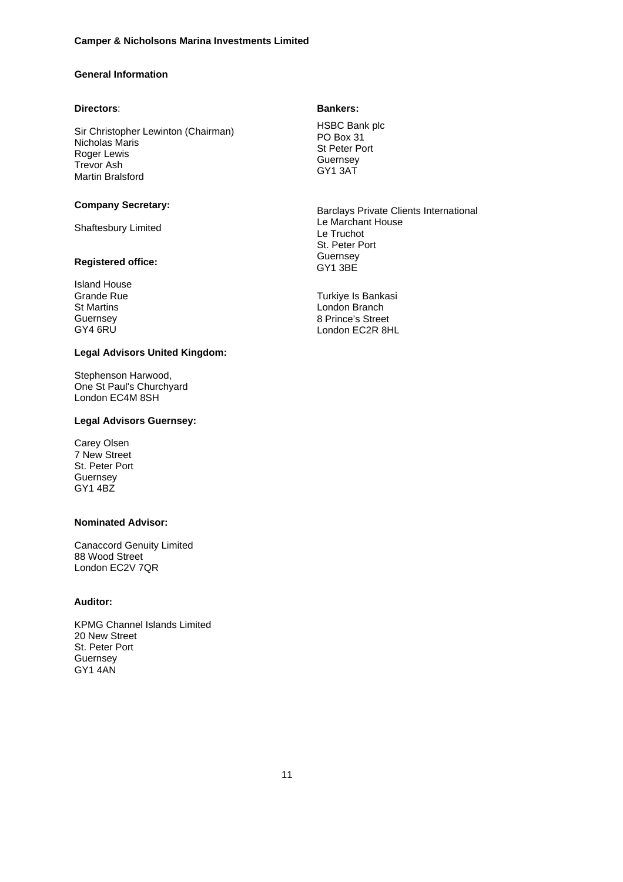# **General Information**

### **Directors**:

Sir Christopher Lewinton (Chairman) Nicholas Maris Roger Lewis Trevor Ash Martin Bralsford

### **Company Secretary:**

Shaftesbury Limited

### **Registered office:**

Island House Grande Rue St Martins Guernsey GY4 6RU

### **Legal Advisors United Kingdom:**

Stephenson Harwood, One St Paul's Churchyard London EC4M 8SH

### **Legal Advisors Guernsey:**

Carey Olsen 7 New Street St. Peter Port **Guernsey** GY1 4BZ

## **Nominated Advisor:**

Canaccord Genuity Limited 88 Wood Street London EC2V 7QR

# **Auditor:**

KPMG Channel Islands Limited 20 New Street St. Peter Port **Guernsey** GY1 4AN

## **Bankers:**

HSBC Bank plc PO Box 31 St Peter Port **Guernsey** GY1 3AT

Barclays Private Clients International Le Marchant House Le Truchot St. Peter Port Guernsey GY1 3BE

Turkiye Is Bankasi London Branch 8 Prince's Street London EC2R 8HL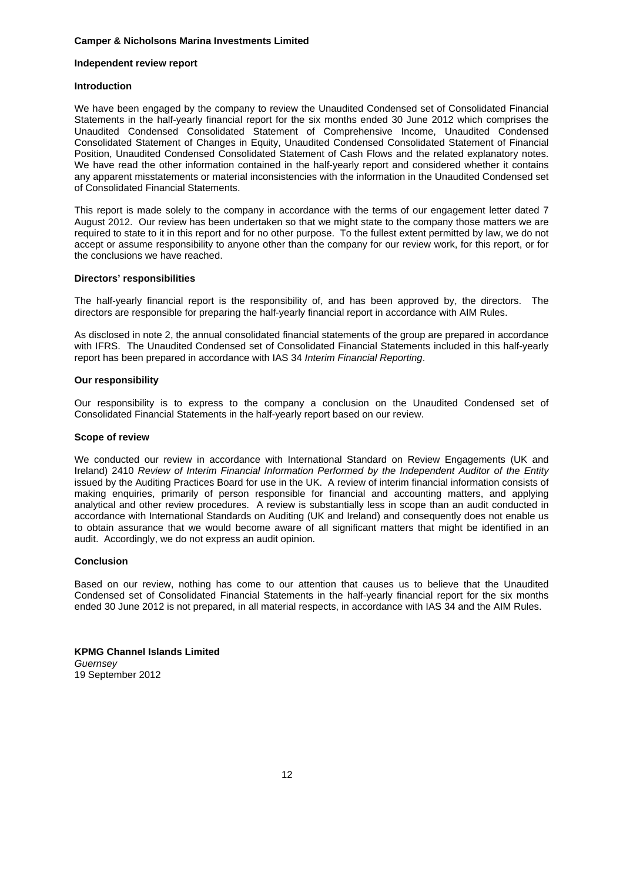### **Independent review report**

## **Introduction**

We have been engaged by the company to review the Unaudited Condensed set of Consolidated Financial Statements in the half-yearly financial report for the six months ended 30 June 2012 which comprises the Unaudited Condensed Consolidated Statement of Comprehensive Income, Unaudited Condensed Consolidated Statement of Changes in Equity, Unaudited Condensed Consolidated Statement of Financial Position, Unaudited Condensed Consolidated Statement of Cash Flows and the related explanatory notes. We have read the other information contained in the half-yearly report and considered whether it contains any apparent misstatements or material inconsistencies with the information in the Unaudited Condensed set of Consolidated Financial Statements.

This report is made solely to the company in accordance with the terms of our engagement letter dated 7 August 2012. Our review has been undertaken so that we might state to the company those matters we are required to state to it in this report and for no other purpose. To the fullest extent permitted by law, we do not accept or assume responsibility to anyone other than the company for our review work, for this report, or for the conclusions we have reached.

# **Directors' responsibilities**

The half-yearly financial report is the responsibility of, and has been approved by, the directors. The directors are responsible for preparing the half-yearly financial report in accordance with AIM Rules.

As disclosed in note 2, the annual consolidated financial statements of the group are prepared in accordance with IFRS. The Unaudited Condensed set of Consolidated Financial Statements included in this half-yearly report has been prepared in accordance with IAS 34 *Interim Financial Reporting*.

### **Our responsibility**

Our responsibility is to express to the company a conclusion on the Unaudited Condensed set of Consolidated Financial Statements in the half-yearly report based on our review.

### **Scope of review**

We conducted our review in accordance with International Standard on Review Engagements (UK and Ireland) 2410 *Review of Interim Financial Information Performed by the Independent Auditor of the Entity* issued by the Auditing Practices Board for use in the UK. A review of interim financial information consists of making enquiries, primarily of person responsible for financial and accounting matters, and applying analytical and other review procedures. A review is substantially less in scope than an audit conducted in accordance with International Standards on Auditing (UK and Ireland) and consequently does not enable us to obtain assurance that we would become aware of all significant matters that might be identified in an audit. Accordingly, we do not express an audit opinion.

### **Conclusion**

Based on our review, nothing has come to our attention that causes us to believe that the Unaudited Condensed set of Consolidated Financial Statements in the half-yearly financial report for the six months ended 30 June 2012 is not prepared, in all material respects, in accordance with IAS 34 and the AIM Rules.

**KPMG Channel Islands Limited** *Guernsey* 19 September 2012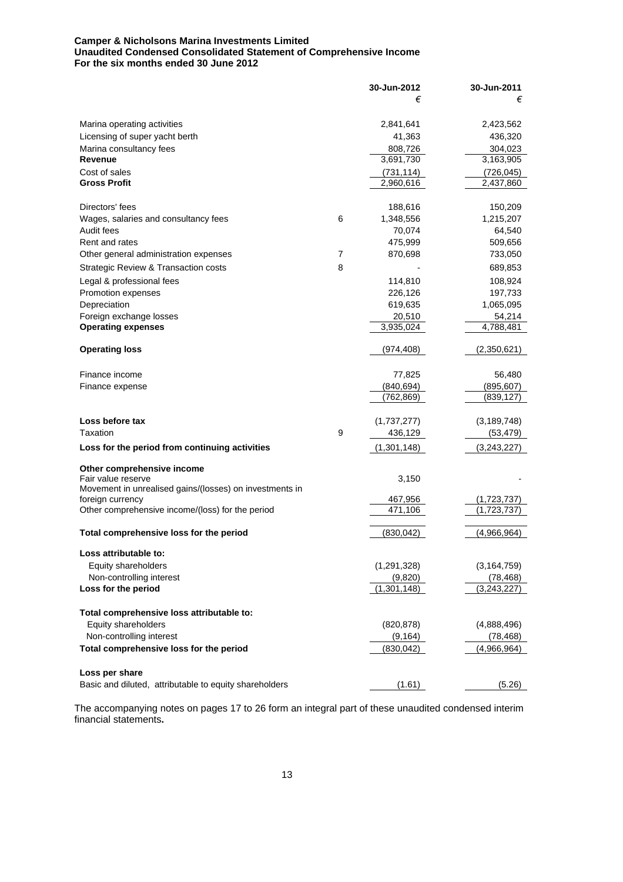## **Camper & Nicholsons Marina Investments Limited Unaudited Condensed Consolidated Statement of Comprehensive Income For the six months ended 30 June 2012**

|                                                                             |   | 30-Jun-2012   | 30-Jun-2011   |
|-----------------------------------------------------------------------------|---|---------------|---------------|
|                                                                             |   | €             | €             |
| Marina operating activities                                                 |   | 2,841,641     | 2,423,562     |
| Licensing of super yacht berth                                              |   | 41,363        | 436,320       |
| Marina consultancy fees                                                     |   | 808,726       | 304,023       |
| Revenue                                                                     |   | 3,691,730     | 3,163,905     |
| Cost of sales                                                               |   | (731, 114)    | (726, 045)    |
| <b>Gross Profit</b>                                                         |   | 2,960,616     | 2,437,860     |
| Directors' fees                                                             |   | 188,616       | 150,209       |
| Wages, salaries and consultancy fees                                        | 6 | 1,348,556     | 1,215,207     |
| Audit fees                                                                  |   | 70,074        | 64,540        |
| Rent and rates                                                              |   | 475,999       | 509,656       |
| Other general administration expenses                                       | 7 | 870,698       | 733,050       |
| Strategic Review & Transaction costs                                        | 8 |               | 689,853       |
| Legal & professional fees                                                   |   | 114,810       | 108,924       |
| Promotion expenses                                                          |   | 226,126       | 197,733       |
| Depreciation                                                                |   | 619,635       | 1,065,095     |
| Foreign exchange losses                                                     |   | 20,510        | 54,214        |
| <b>Operating expenses</b>                                                   |   | 3,935,024     | 4,788,481     |
| <b>Operating loss</b>                                                       |   | (974, 408)    | (2,350,621)   |
| Finance income                                                              |   | 77,825        | 56,480        |
| Finance expense                                                             |   | (840, 694)    | (895, 607)    |
|                                                                             |   | (762,869)     | (839, 127)    |
| Loss before tax                                                             |   | (1,737,277)   | (3, 189, 748) |
| Taxation                                                                    | 9 | 436,129       | (53, 479)     |
| Loss for the period from continuing activities                              |   | (1,301,148)   | (3,243,227)   |
| Other comprehensive income                                                  |   |               |               |
| Fair value reserve                                                          |   | 3,150         |               |
| Movement in unrealised gains/(losses) on investments in<br>foreign currency |   | 467,956       | (1,723,737)   |
| Other comprehensive income/(loss) for the period                            |   | 471,106       | (1,723,737    |
| Total comprehensive loss for the period                                     |   | (830, 042)    | (4,966,964)   |
| Loss attributable to:                                                       |   |               |               |
| Equity shareholders                                                         |   | (1, 291, 328) | (3, 164, 759) |
| Non-controlling interest                                                    |   | (9,820)       | (78, 468)     |
| Loss for the period                                                         |   | (1,301,148)   | (3,243,227)   |
| Total comprehensive loss attributable to:                                   |   |               |               |
| Equity shareholders                                                         |   | (820, 878)    | (4,888,496)   |
| Non-controlling interest                                                    |   | (9, 164)      | (78, 468)     |
| Total comprehensive loss for the period                                     |   | (830, 042)    | (4,966,964)   |
| Loss per share                                                              |   |               |               |
| Basic and diluted, attributable to equity shareholders                      |   | (1.61)        | (5.26)        |

The accompanying notes on pages 17 to 26 form an integral part of these unaudited condensed interim financial statements**.**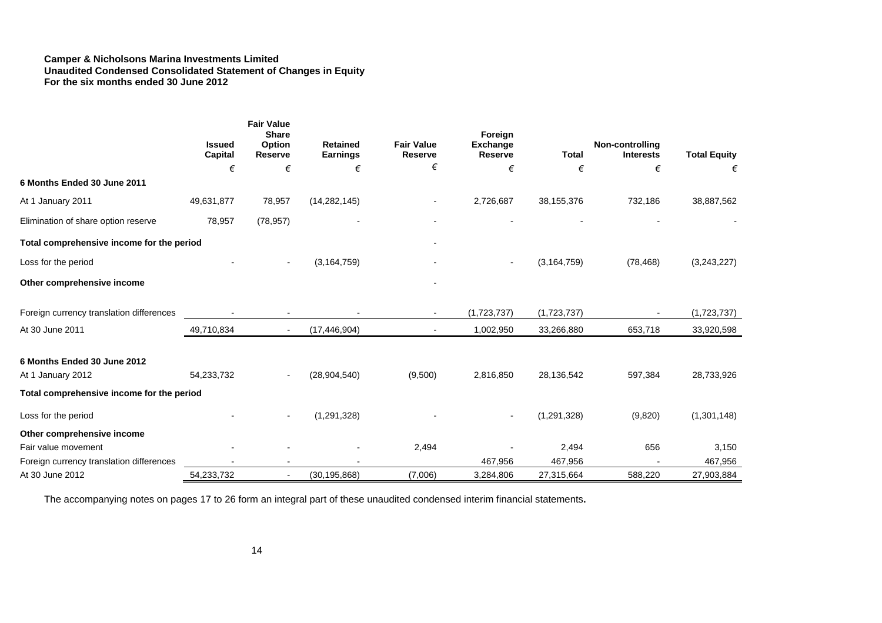#### **Camper & Nicholsons Marina Investments Limited Unaudited Condensed Consolidated Statement of Changes in Equity For the six months ended 30 June 2012**

|                                           | <b>Issued</b><br>Capital | <b>Fair Value</b><br><b>Share</b><br>Option<br><b>Reserve</b> | <b>Retained</b><br>Earnings | <b>Fair Value</b><br>Reserve | Foreign<br><b>Exchange</b><br><b>Reserve</b> | <b>Total</b>  | Non-controlling<br><b>Interests</b> | <b>Total Equity</b> |
|-------------------------------------------|--------------------------|---------------------------------------------------------------|-----------------------------|------------------------------|----------------------------------------------|---------------|-------------------------------------|---------------------|
|                                           | €                        | €                                                             | €                           | €                            | €                                            | €             | €                                   | €                   |
| 6 Months Ended 30 June 2011               |                          |                                                               |                             |                              |                                              |               |                                     |                     |
| At 1 January 2011                         | 49,631,877               | 78,957                                                        | (14, 282, 145)              |                              | 2,726,687                                    | 38,155,376    | 732,186                             | 38,887,562          |
| Elimination of share option reserve       | 78,957                   | (78, 957)                                                     |                             |                              |                                              |               |                                     |                     |
| Total comprehensive income for the period |                          |                                                               |                             |                              |                                              |               |                                     |                     |
| Loss for the period                       |                          | $\overline{\phantom{a}}$                                      | (3, 164, 759)               |                              |                                              | (3, 164, 759) | (78, 468)                           | (3,243,227)         |
| Other comprehensive income                |                          |                                                               |                             |                              |                                              |               |                                     |                     |
| Foreign currency translation differences  |                          |                                                               |                             |                              | (1,723,737)                                  | (1,723,737)   |                                     | (1,723,737)         |
| At 30 June 2011                           | 49,710,834               | $\sim$                                                        | (17, 446, 904)              |                              | 1,002,950                                    | 33,266,880    | 653,718                             | 33,920,598          |
| 6 Months Ended 30 June 2012               |                          |                                                               |                             |                              |                                              |               |                                     |                     |
| At 1 January 2012                         | 54,233,732               |                                                               | (28, 904, 540)              | (9,500)                      | 2,816,850                                    | 28,136,542    | 597,384                             | 28,733,926          |
| Total comprehensive income for the period |                          |                                                               |                             |                              |                                              |               |                                     |                     |
| Loss for the period                       |                          | $\overline{a}$                                                | (1, 291, 328)               |                              |                                              | (1, 291, 328) | (9,820)                             | (1,301,148)         |
| Other comprehensive income                |                          |                                                               |                             |                              |                                              |               |                                     |                     |
| Fair value movement                       |                          |                                                               |                             | 2,494                        |                                              | 2,494         | 656                                 | 3,150               |
| Foreign currency translation differences  |                          |                                                               |                             |                              | 467,956                                      | 467,956       |                                     | 467,956             |
| At 30 June 2012                           | 54,233,732               | $\sim$                                                        | (30, 195, 868)              | (7,006)                      | 3,284,806                                    | 27,315,664    | 588,220                             | 27,903,884          |

The accompanying notes on pages 17 to 26 form an integral part of these unaudited condensed interim financial statements**.**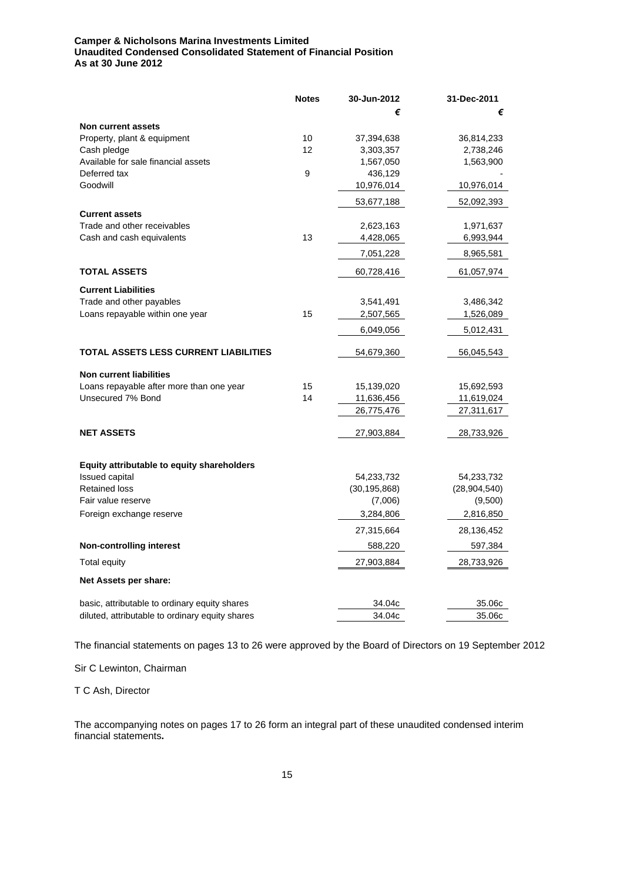# **Camper & Nicholsons Marina Investments Limited Unaudited Condensed Consolidated Statement of Financial Position As at 30 June 2012**

|                                                                     | <b>Notes</b> | 30-Jun-2012    | 31-Dec-2011    |
|---------------------------------------------------------------------|--------------|----------------|----------------|
|                                                                     |              | €              | €              |
| Non current assets                                                  |              |                |                |
| Property, plant & equipment                                         | 10           | 37,394,638     | 36,814,233     |
| Cash pledge                                                         | 12           | 3,303,357      | 2,738,246      |
| Available for sale financial assets                                 |              | 1,567,050      | 1,563,900      |
| Deferred tax                                                        | 9            | 436,129        |                |
| Goodwill                                                            |              | 10,976,014     | 10,976,014     |
|                                                                     |              | 53,677,188     | 52,092,393     |
| <b>Current assets</b>                                               |              |                |                |
| Trade and other receivables                                         |              | 2,623,163      | 1,971,637      |
| Cash and cash equivalents                                           | 13           | 4,428,065      | 6,993,944      |
|                                                                     |              | 7,051,228      | 8,965,581      |
| <b>TOTAL ASSETS</b>                                                 |              | 60,728,416     | 61,057,974     |
| <b>Current Liabilities</b>                                          |              |                |                |
| Trade and other payables                                            |              | 3,541,491      | 3,486,342      |
| Loans repayable within one year                                     | 15           | 2,507,565      | 1,526,089      |
|                                                                     |              | 6,049,056      | 5,012,431      |
|                                                                     |              |                |                |
| <b>TOTAL ASSETS LESS CURRENT LIABILITIES</b>                        |              | 54,679,360     | 56,045,543     |
| <b>Non current liabilities</b>                                      |              |                |                |
| Loans repayable after more than one year                            | 15           | 15,139,020     | 15,692,593     |
| Unsecured 7% Bond                                                   | 14           | 11,636,456     | 11,619,024     |
|                                                                     |              | 26,775,476     | 27,311,617     |
| <b>NET ASSETS</b>                                                   |              | 27,903,884     | 28,733,926     |
|                                                                     |              |                |                |
|                                                                     |              |                |                |
| Equity attributable to equity shareholders<br><b>Issued capital</b> |              | 54,233,732     | 54,233,732     |
| <b>Retained loss</b>                                                |              | (30, 195, 868) | (28, 904, 540) |
| Fair value reserve                                                  |              | (7,006)        | (9,500)        |
| Foreign exchange reserve                                            |              | 3,284,806      | 2,816,850      |
|                                                                     |              | 27,315,664     | 28,136,452     |
|                                                                     |              |                |                |
| <b>Non-controlling interest</b>                                     |              | 588,220        | 597,384        |
| <b>Total equity</b>                                                 |              | 27,903,884     | 28,733,926     |
| Net Assets per share:                                               |              |                |                |
| basic, attributable to ordinary equity shares                       |              | 34.04c         | 35.06c         |
| diluted, attributable to ordinary equity shares                     |              | 34.04c         | 35.06c         |

The financial statements on pages 13 to 26 were approved by the Board of Directors on 19 September 2012

Sir C Lewinton, Chairman

T C Ash, Director

The accompanying notes on pages 17 to 26 form an integral part of these unaudited condensed interim financial statements**.**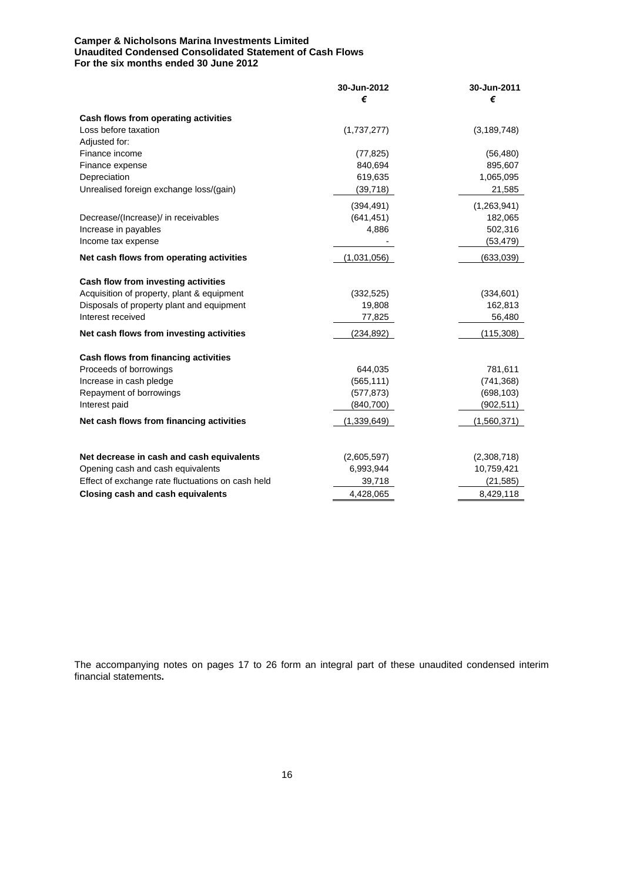### **Camper & Nicholsons Marina Investments Limited Unaudited Condensed Consolidated Statement of Cash Flows For the six months ended 30 June 2012**

| €<br>€<br>Cash flows from operating activities<br>Loss before taxation<br>(1,737,277)<br>(3, 189, 748)<br>Adjusted for:<br>Finance income<br>(77, 825)<br>(56, 480)<br>840,694<br>895,607<br>Finance expense<br>Depreciation<br>619,635<br>1,065,095<br>(39, 718)<br>Unrealised foreign exchange loss/(gain)<br>21,585<br>(394, 491)<br>(1,263,941)<br>(641, 451)<br>182,065<br>Decrease/(Increase)/ in receivables<br>Increase in payables<br>4,886<br>502,316<br>Income tax expense<br>(53, 479)<br>Net cash flows from operating activities<br>(1,031,056)<br>(633,039)<br>Cash flow from investing activities<br>Acquisition of property, plant & equipment<br>(332, 525)<br>(334, 601)<br>Disposals of property plant and equipment<br>19,808<br>162,813<br>Interest received<br>56,480<br>77,825<br>Net cash flows from investing activities<br>(234, 892)<br>(115, 308)<br>Cash flows from financing activities<br>Proceeds of borrowings<br>644,035<br>781,611<br>Increase in cash pledge<br>(565, 111)<br>(741, 368)<br>(698, 103)<br>Repayment of borrowings<br>(577, 873)<br>(840, 700)<br>(902, 511)<br>Interest paid<br>Net cash flows from financing activities<br>(1,339,649)<br>(1,560,371)<br>Net decrease in cash and cash equivalents<br>(2,605,597)<br>(2,308,718)<br>Opening cash and cash equivalents<br>6,993,944<br>10,759,421<br>Effect of exchange rate fluctuations on cash held<br>39,718<br>(21, 585)<br>Closing cash and cash equivalents<br>4,428,065<br>8,429,118 | 30-Jun-2012 | 30-Jun-2011 |
|---------------------------------------------------------------------------------------------------------------------------------------------------------------------------------------------------------------------------------------------------------------------------------------------------------------------------------------------------------------------------------------------------------------------------------------------------------------------------------------------------------------------------------------------------------------------------------------------------------------------------------------------------------------------------------------------------------------------------------------------------------------------------------------------------------------------------------------------------------------------------------------------------------------------------------------------------------------------------------------------------------------------------------------------------------------------------------------------------------------------------------------------------------------------------------------------------------------------------------------------------------------------------------------------------------------------------------------------------------------------------------------------------------------------------------------------------------------------------------------------------|-------------|-------------|
|                                                                                                                                                                                                                                                                                                                                                                                                                                                                                                                                                                                                                                                                                                                                                                                                                                                                                                                                                                                                                                                                                                                                                                                                                                                                                                                                                                                                                                                                                                   |             |             |
|                                                                                                                                                                                                                                                                                                                                                                                                                                                                                                                                                                                                                                                                                                                                                                                                                                                                                                                                                                                                                                                                                                                                                                                                                                                                                                                                                                                                                                                                                                   |             |             |
|                                                                                                                                                                                                                                                                                                                                                                                                                                                                                                                                                                                                                                                                                                                                                                                                                                                                                                                                                                                                                                                                                                                                                                                                                                                                                                                                                                                                                                                                                                   |             |             |
|                                                                                                                                                                                                                                                                                                                                                                                                                                                                                                                                                                                                                                                                                                                                                                                                                                                                                                                                                                                                                                                                                                                                                                                                                                                                                                                                                                                                                                                                                                   |             |             |
|                                                                                                                                                                                                                                                                                                                                                                                                                                                                                                                                                                                                                                                                                                                                                                                                                                                                                                                                                                                                                                                                                                                                                                                                                                                                                                                                                                                                                                                                                                   |             |             |
|                                                                                                                                                                                                                                                                                                                                                                                                                                                                                                                                                                                                                                                                                                                                                                                                                                                                                                                                                                                                                                                                                                                                                                                                                                                                                                                                                                                                                                                                                                   |             |             |
|                                                                                                                                                                                                                                                                                                                                                                                                                                                                                                                                                                                                                                                                                                                                                                                                                                                                                                                                                                                                                                                                                                                                                                                                                                                                                                                                                                                                                                                                                                   |             |             |
|                                                                                                                                                                                                                                                                                                                                                                                                                                                                                                                                                                                                                                                                                                                                                                                                                                                                                                                                                                                                                                                                                                                                                                                                                                                                                                                                                                                                                                                                                                   |             |             |
|                                                                                                                                                                                                                                                                                                                                                                                                                                                                                                                                                                                                                                                                                                                                                                                                                                                                                                                                                                                                                                                                                                                                                                                                                                                                                                                                                                                                                                                                                                   |             |             |
|                                                                                                                                                                                                                                                                                                                                                                                                                                                                                                                                                                                                                                                                                                                                                                                                                                                                                                                                                                                                                                                                                                                                                                                                                                                                                                                                                                                                                                                                                                   |             |             |
|                                                                                                                                                                                                                                                                                                                                                                                                                                                                                                                                                                                                                                                                                                                                                                                                                                                                                                                                                                                                                                                                                                                                                                                                                                                                                                                                                                                                                                                                                                   |             |             |
|                                                                                                                                                                                                                                                                                                                                                                                                                                                                                                                                                                                                                                                                                                                                                                                                                                                                                                                                                                                                                                                                                                                                                                                                                                                                                                                                                                                                                                                                                                   |             |             |
|                                                                                                                                                                                                                                                                                                                                                                                                                                                                                                                                                                                                                                                                                                                                                                                                                                                                                                                                                                                                                                                                                                                                                                                                                                                                                                                                                                                                                                                                                                   |             |             |
|                                                                                                                                                                                                                                                                                                                                                                                                                                                                                                                                                                                                                                                                                                                                                                                                                                                                                                                                                                                                                                                                                                                                                                                                                                                                                                                                                                                                                                                                                                   |             |             |
|                                                                                                                                                                                                                                                                                                                                                                                                                                                                                                                                                                                                                                                                                                                                                                                                                                                                                                                                                                                                                                                                                                                                                                                                                                                                                                                                                                                                                                                                                                   |             |             |
|                                                                                                                                                                                                                                                                                                                                                                                                                                                                                                                                                                                                                                                                                                                                                                                                                                                                                                                                                                                                                                                                                                                                                                                                                                                                                                                                                                                                                                                                                                   |             |             |
|                                                                                                                                                                                                                                                                                                                                                                                                                                                                                                                                                                                                                                                                                                                                                                                                                                                                                                                                                                                                                                                                                                                                                                                                                                                                                                                                                                                                                                                                                                   |             |             |
|                                                                                                                                                                                                                                                                                                                                                                                                                                                                                                                                                                                                                                                                                                                                                                                                                                                                                                                                                                                                                                                                                                                                                                                                                                                                                                                                                                                                                                                                                                   |             |             |
|                                                                                                                                                                                                                                                                                                                                                                                                                                                                                                                                                                                                                                                                                                                                                                                                                                                                                                                                                                                                                                                                                                                                                                                                                                                                                                                                                                                                                                                                                                   |             |             |
|                                                                                                                                                                                                                                                                                                                                                                                                                                                                                                                                                                                                                                                                                                                                                                                                                                                                                                                                                                                                                                                                                                                                                                                                                                                                                                                                                                                                                                                                                                   |             |             |
|                                                                                                                                                                                                                                                                                                                                                                                                                                                                                                                                                                                                                                                                                                                                                                                                                                                                                                                                                                                                                                                                                                                                                                                                                                                                                                                                                                                                                                                                                                   |             |             |
|                                                                                                                                                                                                                                                                                                                                                                                                                                                                                                                                                                                                                                                                                                                                                                                                                                                                                                                                                                                                                                                                                                                                                                                                                                                                                                                                                                                                                                                                                                   |             |             |
|                                                                                                                                                                                                                                                                                                                                                                                                                                                                                                                                                                                                                                                                                                                                                                                                                                                                                                                                                                                                                                                                                                                                                                                                                                                                                                                                                                                                                                                                                                   |             |             |
|                                                                                                                                                                                                                                                                                                                                                                                                                                                                                                                                                                                                                                                                                                                                                                                                                                                                                                                                                                                                                                                                                                                                                                                                                                                                                                                                                                                                                                                                                                   |             |             |
|                                                                                                                                                                                                                                                                                                                                                                                                                                                                                                                                                                                                                                                                                                                                                                                                                                                                                                                                                                                                                                                                                                                                                                                                                                                                                                                                                                                                                                                                                                   |             |             |
|                                                                                                                                                                                                                                                                                                                                                                                                                                                                                                                                                                                                                                                                                                                                                                                                                                                                                                                                                                                                                                                                                                                                                                                                                                                                                                                                                                                                                                                                                                   |             |             |
|                                                                                                                                                                                                                                                                                                                                                                                                                                                                                                                                                                                                                                                                                                                                                                                                                                                                                                                                                                                                                                                                                                                                                                                                                                                                                                                                                                                                                                                                                                   |             |             |
|                                                                                                                                                                                                                                                                                                                                                                                                                                                                                                                                                                                                                                                                                                                                                                                                                                                                                                                                                                                                                                                                                                                                                                                                                                                                                                                                                                                                                                                                                                   |             |             |
|                                                                                                                                                                                                                                                                                                                                                                                                                                                                                                                                                                                                                                                                                                                                                                                                                                                                                                                                                                                                                                                                                                                                                                                                                                                                                                                                                                                                                                                                                                   |             |             |

The accompanying notes on pages 17 to 26 form an integral part of these unaudited condensed interim financial statements**.**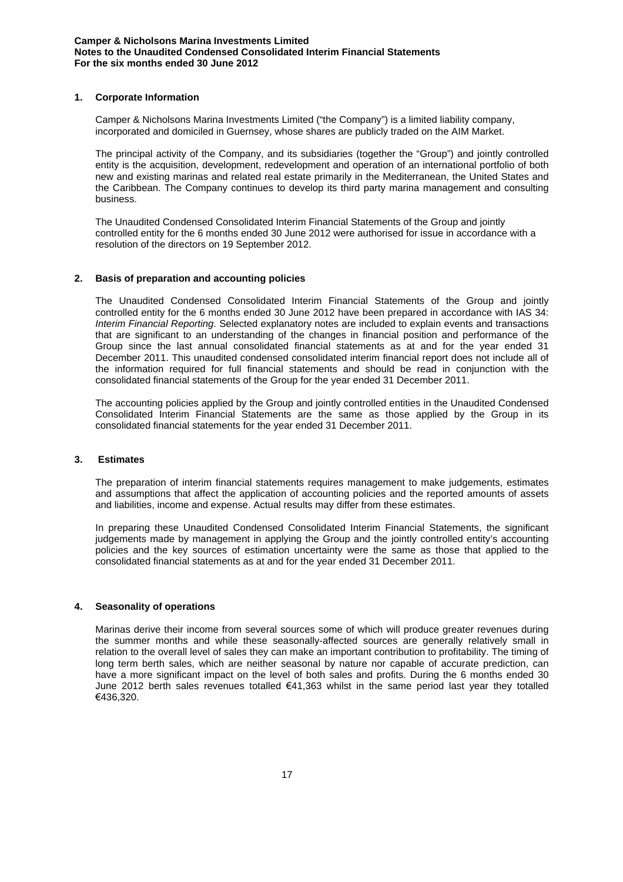## **1. Corporate Information**

Camper & Nicholsons Marina Investments Limited ("the Company") is a limited liability company, incorporated and domiciled in Guernsey, whose shares are publicly traded on the AIM Market.

The principal activity of the Company, and its subsidiaries (together the "Group") and jointly controlled entity is the acquisition, development, redevelopment and operation of an international portfolio of both new and existing marinas and related real estate primarily in the Mediterranean, the United States and the Caribbean. The Company continues to develop its third party marina management and consulting business.

The Unaudited Condensed Consolidated Interim Financial Statements of the Group and jointly controlled entity for the 6 months ended 30 June 2012 were authorised for issue in accordance with a resolution of the directors on 19 September 2012.

# **2. Basis of preparation and accounting policies**

The Unaudited Condensed Consolidated Interim Financial Statements of the Group and jointly controlled entity for the 6 months ended 30 June 2012 have been prepared in accordance with IAS 34: *Interim Financial Reporting*. Selected explanatory notes are included to explain events and transactions that are significant to an understanding of the changes in financial position and performance of the Group since the last annual consolidated financial statements as at and for the year ended 31 December 2011. This unaudited condensed consolidated interim financial report does not include all of the information required for full financial statements and should be read in conjunction with the consolidated financial statements of the Group for the year ended 31 December 2011.

The accounting policies applied by the Group and jointly controlled entities in the Unaudited Condensed Consolidated Interim Financial Statements are the same as those applied by the Group in its consolidated financial statements for the year ended 31 December 2011.

### **3. Estimates**

The preparation of interim financial statements requires management to make judgements, estimates and assumptions that affect the application of accounting policies and the reported amounts of assets and liabilities, income and expense. Actual results may differ from these estimates.

In preparing these Unaudited Condensed Consolidated Interim Financial Statements, the significant judgements made by management in applying the Group and the jointly controlled entity's accounting policies and the key sources of estimation uncertainty were the same as those that applied to the consolidated financial statements as at and for the year ended 31 December 2011.

### **4. Seasonality of operations**

Marinas derive their income from several sources some of which will produce greater revenues during the summer months and while these seasonally-affected sources are generally relatively small in relation to the overall level of sales they can make an important contribution to profitability. The timing of long term berth sales, which are neither seasonal by nature nor capable of accurate prediction, can have a more significant impact on the level of both sales and profits. During the 6 months ended 30 June 2012 berth sales revenues totalled €41,363 whilst in the same period last year they totalled €436,320.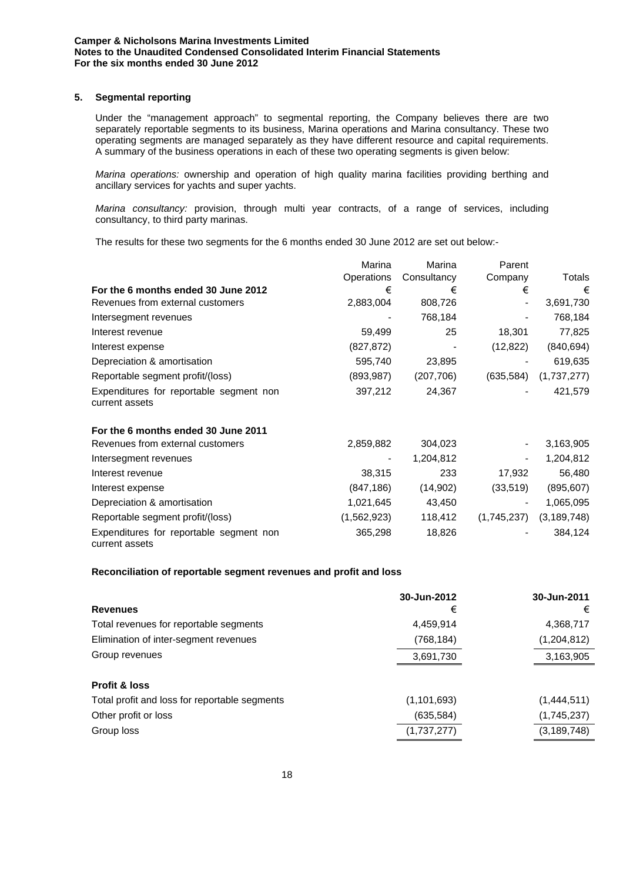## **5. Segmental reporting**

Under the "management approach" to segmental reporting, the Company believes there are two separately reportable segments to its business, Marina operations and Marina consultancy. These two operating segments are managed separately as they have different resource and capital requirements. A summary of the business operations in each of these two operating segments is given below:

*Marina operations:* ownership and operation of high quality marina facilities providing berthing and ancillary services for yachts and super yachts.

*Marina consultancy:* provision, through multi year contracts, of a range of services, including consultancy, to third party marinas.

The results for these two segments for the 6 months ended 30 June 2012 are set out below:-

|                                                           | Marina      | Marina      | Parent      |               |
|-----------------------------------------------------------|-------------|-------------|-------------|---------------|
|                                                           | Operations  | Consultancy | Company     | Totals        |
| For the 6 months ended 30 June 2012                       | €           | €           | €           | €             |
| Revenues from external customers                          | 2,883,004   | 808,726     |             | 3,691,730     |
| Intersegment revenues                                     |             | 768,184     |             | 768,184       |
| Interest revenue                                          | 59,499      | 25          | 18,301      | 77,825        |
| Interest expense                                          | (827, 872)  |             | (12, 822)   | (840, 694)    |
| Depreciation & amortisation                               | 595,740     | 23,895      |             | 619,635       |
| Reportable segment profit/(loss)                          | (893, 987)  | (207, 706)  | (635, 584)  | (1,737,277)   |
| Expenditures for reportable segment non<br>current assets | 397,212     | 24,367      |             | 421,579       |
| For the 6 months ended 30 June 2011                       |             |             |             |               |
| Revenues from external customers                          | 2,859,882   | 304,023     |             | 3,163,905     |
| Intersegment revenues                                     |             | 1,204,812   |             | 1,204,812     |
| Interest revenue                                          | 38,315      | 233         | 17,932      | 56,480        |
| Interest expense                                          | (847, 186)  | (14,902)    | (33,519)    | (895, 607)    |
| Depreciation & amortisation                               | 1,021,645   | 43,450      |             | 1,065,095     |
| Reportable segment profit/(loss)                          | (1,562,923) | 118,412     | (1,745,237) | (3, 189, 748) |
| Expenditures for reportable segment non<br>current assets | 365,298     | 18,826      |             | 384,124       |

### **Reconciliation of reportable segment revenues and profit and loss**

|                                               | 30-Jun-2012   | 30-Jun-2011   |
|-----------------------------------------------|---------------|---------------|
| <b>Revenues</b>                               | €             | €             |
| Total revenues for reportable segments        | 4,459,914     | 4,368,717     |
| Elimination of inter-segment revenues         | (768,184)     | (1,204,812)   |
| Group revenues                                | 3,691,730     | 3,163,905     |
| <b>Profit &amp; loss</b>                      |               |               |
| Total profit and loss for reportable segments | (1, 101, 693) | (1,444,511)   |
| Other profit or loss                          | (635, 584)    | (1,745,237)   |
| Group loss                                    | (1,737,277)   | (3, 189, 748) |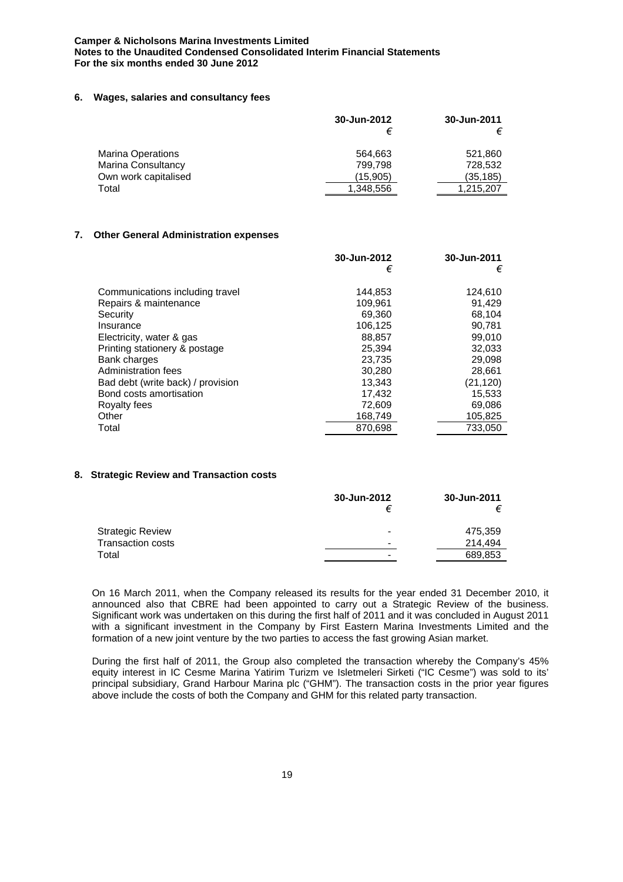## **Camper & Nicholsons Marina Investments Limited Notes to the Unaudited Condensed Consolidated Interim Financial Statements For the six months ended 30 June 2012**

### **6. Wages, salaries and consultancy fees**

|                           | 30-Jun-2012 | 30-Jun-2011 |
|---------------------------|-------------|-------------|
|                           |             |             |
| <b>Marina Operations</b>  | 564,663     | 521,860     |
| <b>Marina Consultancy</b> | 799.798     | 728.532     |
| Own work capitalised      | (15,905)    | (35, 185)   |
| Total                     | 1,348,556   | 1,215,207   |

## **7. Other General Administration expenses**

|                                   | 30-Jun-2012 | 30-Jun-2011 |
|-----------------------------------|-------------|-------------|
|                                   | €           | €           |
| Communications including travel   | 144,853     | 124,610     |
| Repairs & maintenance             | 109.961     | 91.429      |
| Security                          | 69,360      | 68,104      |
| Insurance                         | 106,125     | 90,781      |
| Electricity, water & gas          | 88,857      | 99,010      |
| Printing stationery & postage     | 25,394      | 32,033      |
| Bank charges                      | 23,735      | 29,098      |
| Administration fees               | 30.280      | 28,661      |
| Bad debt (write back) / provision | 13.343      | (21, 120)   |
| Bond costs amortisation           | 17,432      | 15,533      |
| Royalty fees                      | 72.609      | 69,086      |
| Other                             | 168,749     | 105,825     |
| Total                             | 870.698     | 733.050     |

## **8. Strategic Review and Transaction costs**

|                          | 30-Jun-2012              | 30-Jun-2011<br>€ |
|--------------------------|--------------------------|------------------|
| <b>Strategic Review</b>  | $\overline{\phantom{a}}$ | 475,359          |
| <b>Transaction costs</b> | $\overline{\phantom{a}}$ | 214.494          |
| Total                    | $\overline{\phantom{a}}$ | 689,853          |

On 16 March 2011, when the Company released its results for the year ended 31 December 2010, it announced also that CBRE had been appointed to carry out a Strategic Review of the business. Significant work was undertaken on this during the first half of 2011 and it was concluded in August 2011 with a significant investment in the Company by First Eastern Marina Investments Limited and the formation of a new joint venture by the two parties to access the fast growing Asian market.

During the first half of 2011, the Group also completed the transaction whereby the Company's 45% equity interest in IC Cesme Marina Yatirim Turizm ve Isletmeleri Sirketi ("IC Cesme") was sold to its' principal subsidiary, Grand Harbour Marina plc ("GHM"). The transaction costs in the prior year figures above include the costs of both the Company and GHM for this related party transaction.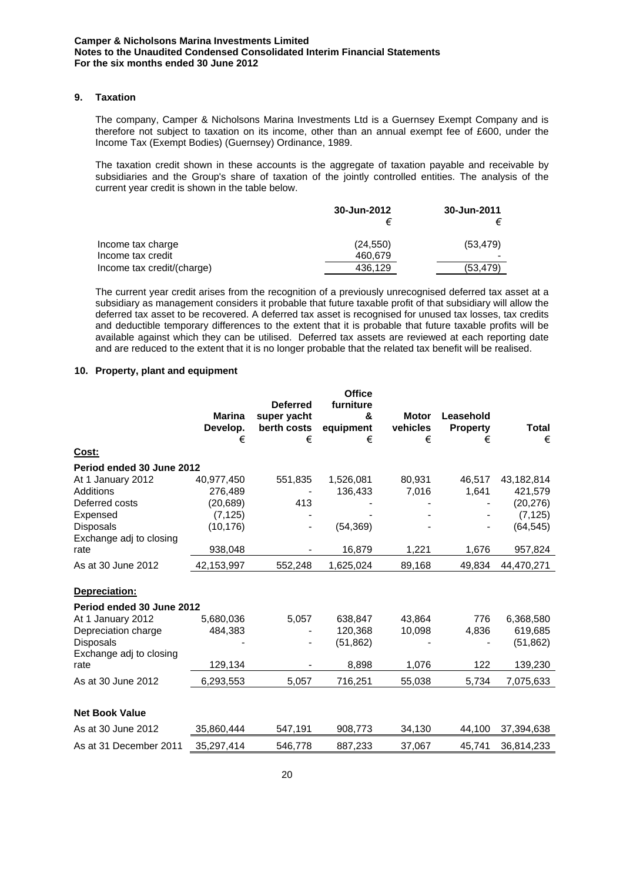### **9. Taxation**

The company, Camper & Nicholsons Marina Investments Ltd is a Guernsey Exempt Company and is therefore not subject to taxation on its income, other than an annual exempt fee of £600, under the Income Tax (Exempt Bodies) (Guernsey) Ordinance, 1989.

The taxation credit shown in these accounts is the aggregate of taxation payable and receivable by subsidiaries and the Group's share of taxation of the jointly controlled entities. The analysis of the current year credit is shown in the table below.

|                            | 30-Jun-2012 | 30-Jun-2011 |  |
|----------------------------|-------------|-------------|--|
| Income tax charge          | (24, 550)   | (53, 479)   |  |
| Income tax credit          | 460.679     |             |  |
| Income tax credit/(charge) | 436.129     | (53,479)    |  |

The current year credit arises from the recognition of a previously unrecognised deferred tax asset at a subsidiary as management considers it probable that future taxable profit of that subsidiary will allow the deferred tax asset to be recovered. A deferred tax asset is recognised for unused tax losses, tax credits and deductible temporary differences to the extent that it is probable that future taxable profits will be available against which they can be utilised. Deferred tax assets are reviewed at each reporting date and are reduced to the extent that it is no longer probable that the related tax benefit will be realised.

## **10. Property, plant and equipment**

|                                 | <b>Marina</b><br>Develop. | <b>Deferred</b><br>super yacht<br>berth costs | <b>Office</b><br>furniture<br>&<br>equipment | <b>Motor</b><br>vehicles | Leasehold<br><b>Property</b> | Total      |
|---------------------------------|---------------------------|-----------------------------------------------|----------------------------------------------|--------------------------|------------------------------|------------|
|                                 | €                         | €                                             | €                                            | €                        | €                            | €          |
| Cost:                           |                           |                                               |                                              |                          |                              |            |
| Period ended 30 June 2012       |                           |                                               |                                              |                          |                              |            |
| At 1 January 2012               | 40,977,450                | 551,835                                       | 1,526,081                                    | 80.931                   | 46.517                       | 43,182,814 |
| Additions                       | 276,489                   |                                               | 136,433                                      | 7,016                    | 1,641                        | 421,579    |
| Deferred costs                  | (20, 689)                 | 413                                           |                                              |                          |                              | (20, 276)  |
| Expensed                        | (7, 125)                  |                                               |                                              |                          |                              | (7, 125)   |
| <b>Disposals</b>                | (10, 176)                 |                                               | (54, 369)                                    |                          |                              | (64, 545)  |
| Exchange adj to closing<br>rate | 938,048                   |                                               | 16,879                                       | 1,221                    | 1,676                        | 957,824    |
|                                 |                           |                                               |                                              |                          |                              |            |
| As at 30 June 2012              | 42,153,997                | 552,248                                       | 1,625,024                                    | 89,168                   | 49,834                       | 44,470,271 |
| Depreciation:                   |                           |                                               |                                              |                          |                              |            |
| Period ended 30 June 2012       |                           |                                               |                                              |                          |                              |            |
| At 1 January 2012               | 5,680,036                 | 5,057                                         | 638,847                                      | 43,864                   | 776                          | 6,368,580  |
| Depreciation charge             | 484,383                   |                                               | 120,368                                      | 10,098                   | 4,836                        | 619,685    |
| <b>Disposals</b>                |                           |                                               | (51, 862)                                    |                          |                              | (51, 862)  |
| Exchange adj to closing         |                           |                                               |                                              |                          |                              |            |
| rate                            | 129,134                   |                                               | 8,898                                        | 1,076                    | 122                          | 139,230    |
| As at 30 June 2012              | 6,293,553                 | 5,057                                         | 716,251                                      | 55,038                   | 5,734                        | 7,075,633  |
|                                 |                           |                                               |                                              |                          |                              |            |
| <b>Net Book Value</b>           |                           |                                               |                                              |                          |                              |            |
| As at 30 June 2012              | 35,860,444                | 547,191                                       | 908,773                                      | 34,130                   | 44,100                       | 37,394,638 |
| As at 31 December 2011          | 35,297,414                | 546,778                                       | 887,233                                      | 37,067                   | 45,741                       | 36,814,233 |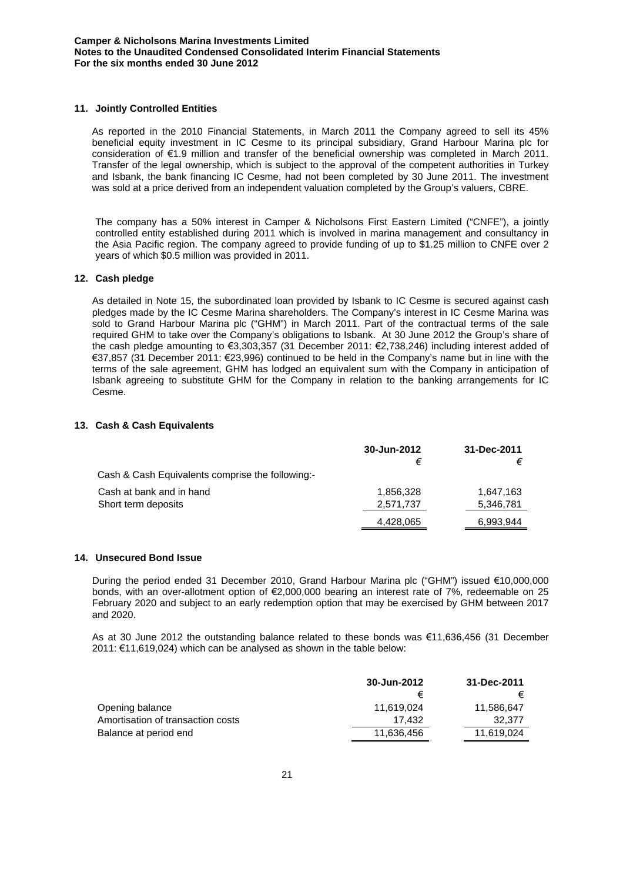## **11. Jointly Controlled Entities**

As reported in the 2010 Financial Statements, in March 2011 the Company agreed to sell its 45% beneficial equity investment in IC Cesme to its principal subsidiary, Grand Harbour Marina plc for consideration of €1.9 million and transfer of the beneficial ownership was completed in March 2011. Transfer of the legal ownership, which is subject to the approval of the competent authorities in Turkey and Isbank, the bank financing IC Cesme, had not been completed by 30 June 2011. The investment was sold at a price derived from an independent valuation completed by the Group's valuers, CBRE.

The company has a 50% interest in Camper & Nicholsons First Eastern Limited ("CNFE"), a jointly controlled entity established during 2011 which is involved in marina management and consultancy in the Asia Pacific region. The company agreed to provide funding of up to \$1.25 million to CNFE over 2 years of which \$0.5 million was provided in 2011.

### **12. Cash pledge**

As detailed in Note 15, the subordinated loan provided by Isbank to IC Cesme is secured against cash pledges made by the IC Cesme Marina shareholders. The Company's interest in IC Cesme Marina was sold to Grand Harbour Marina plc ("GHM") in March 2011. Part of the contractual terms of the sale required GHM to take over the Company's obligations to Isbank. At 30 June 2012 the Group's share of the cash pledge amounting to €3,303,357 (31 December 2011: €2,738,246) including interest added of €37,857 (31 December 2011: €23,996) continued to be held in the Company's name but in line with the terms of the sale agreement, GHM has lodged an equivalent sum with the Company in anticipation of Isbank agreeing to substitute GHM for the Company in relation to the banking arrangements for IC Cesme.

### **13. Cash & Cash Equivalents**

|                                                  | 30-Jun-2012<br>€ | 31-Dec-2011<br>€ |
|--------------------------------------------------|------------------|------------------|
| Cash & Cash Equivalents comprise the following:- |                  |                  |
| Cash at bank and in hand                         | 1,856,328        | 1.647.163        |
| Short term deposits                              | 2,571,737        | 5,346,781        |
|                                                  | 4,428,065        | 6,993,944        |

### **14. Unsecured Bond Issue**

During the period ended 31 December 2010, Grand Harbour Marina plc ("GHM") issued €10,000,000 bonds, with an over-allotment option of €2,000,000 bearing an interest rate of 7%, redeemable on 25 February 2020 and subject to an early redemption option that may be exercised by GHM between 2017 and 2020.

As at 30 June 2012 the outstanding balance related to these bonds was €11,636,456 (31 December 2011: €11,619,024) which can be analysed as shown in the table below:

|                                   | 30-Jun-2012 | 31-Dec-2011 |
|-----------------------------------|-------------|-------------|
|                                   |             |             |
| Opening balance                   | 11.619.024  | 11.586.647  |
| Amortisation of transaction costs | 17.432      | 32.377      |
| Balance at period end             | 11.636.456  | 11.619.024  |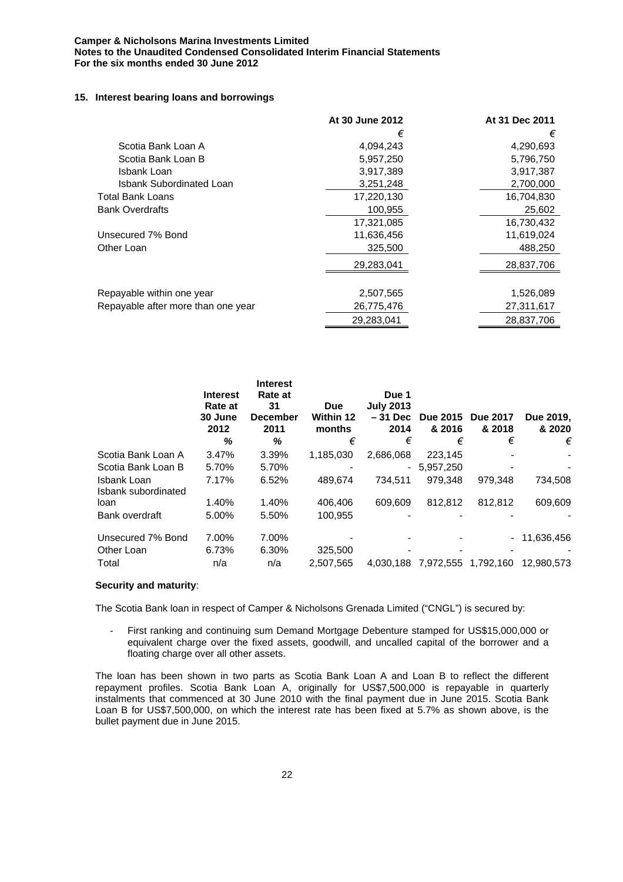## **Camper & Nicholsons Marina Investments Limited Notes to the Unaudited Condensed Consolidated Interim Financial Statements For the six months ended 30 June 2012**

### **15. Interest bearing loans and borrowings**

|                                    | At 30 June 2012 | At 31 Dec 2011 |
|------------------------------------|-----------------|----------------|
|                                    | €               | €              |
| Scotia Bank Loan A                 | 4,094,243       | 4,290,693      |
| Scotia Bank Loan B                 | 5,957,250       | 5,796,750      |
| Isbank Loan                        | 3,917,389       | 3,917,387      |
| Isbank Subordinated Loan           | 3,251,248       | 2,700,000      |
| Total Bank Loans                   | 17,220,130      | 16,704,830     |
| <b>Bank Overdrafts</b>             | 100,955         | 25,602         |
|                                    | 17,321,085      | 16,730,432     |
| Unsecured 7% Bond                  | 11,636,456      | 11,619,024     |
| Other Loan                         | 325,500         | 488,250        |
|                                    | 29,283,041      | 28,837,706     |
|                                    |                 |                |
| Repayable within one year          | 2,507,565       | 1,526,089      |
| Repayable after more than one year | 26,775,476      | 27,311,617     |
|                                    | 29.283.041      | 28,837,706     |

|                                    | <b>Interest</b><br>Rate at<br>30 June<br>2012<br>℅ | <b>Interest</b><br>Rate at<br>31<br><b>December</b><br>2011<br>℅ | <b>Due</b><br><b>Within 12</b><br>months<br>€ | Due 1<br><b>July 2013</b><br>$-31$ Dec<br>2014<br>€ | <b>Due 2015</b><br>& 2016<br>€ | <b>Due 2017</b><br>& 2018<br>€ | Due 2019.<br>& 2020<br>€ |
|------------------------------------|----------------------------------------------------|------------------------------------------------------------------|-----------------------------------------------|-----------------------------------------------------|--------------------------------|--------------------------------|--------------------------|
| Scotia Bank Loan A                 | 3.47%                                              | 3.39%                                                            | 1,185,030                                     | 2,686,068                                           | 223,145                        |                                |                          |
| Scotia Bank Loan B                 | 5.70%                                              | 5.70%                                                            |                                               | $\blacksquare$                                      | 5,957,250                      | $\overline{\phantom{0}}$       |                          |
| Isbank Loan<br>Isbank subordinated | 7.17%                                              | 6.52%                                                            | 489,674                                       | 734,511                                             | 979,348                        | 979,348                        | 734,508                  |
| loan                               | 1.40%                                              | 1.40%                                                            | 406,406                                       | 609.609                                             | 812.812                        | 812.812                        | 609.609                  |
| Bank overdraft                     | 5.00%                                              | 5.50%                                                            | 100,955                                       |                                                     |                                |                                |                          |
| Unsecured 7% Bond                  | 7.00%                                              | 7.00%                                                            |                                               |                                                     |                                | $\sim$                         | 11,636,456               |
| Other Loan                         | 6.73%                                              | 6.30%                                                            | 325,500                                       |                                                     |                                | $\overline{\phantom{0}}$       |                          |
| Total                              | n/a                                                | n/a                                                              | 2.507.565                                     |                                                     | 4,030,188 7,972,555 1,792,160  |                                | 12.980.573               |

### **Security and maturity**:

The Scotia Bank loan in respect of Camper & Nicholsons Grenada Limited ("CNGL") is secured by:

- First ranking and continuing sum Demand Mortgage Debenture stamped for US\$15,000,000 or equivalent charge over the fixed assets, goodwill, and uncalled capital of the borrower and a floating charge over all other assets.

The loan has been shown in two parts as Scotia Bank Loan A and Loan B to reflect the different repayment profiles. Scotia Bank Loan A, originally for US\$7,500,000 is repayable in quarterly instalments that commenced at 30 June 2010 with the final payment due in June 2015. Scotia Bank Loan B for US\$7,500,000, on which the interest rate has been fixed at 5.7% as shown above, is the bullet payment due in June 2015.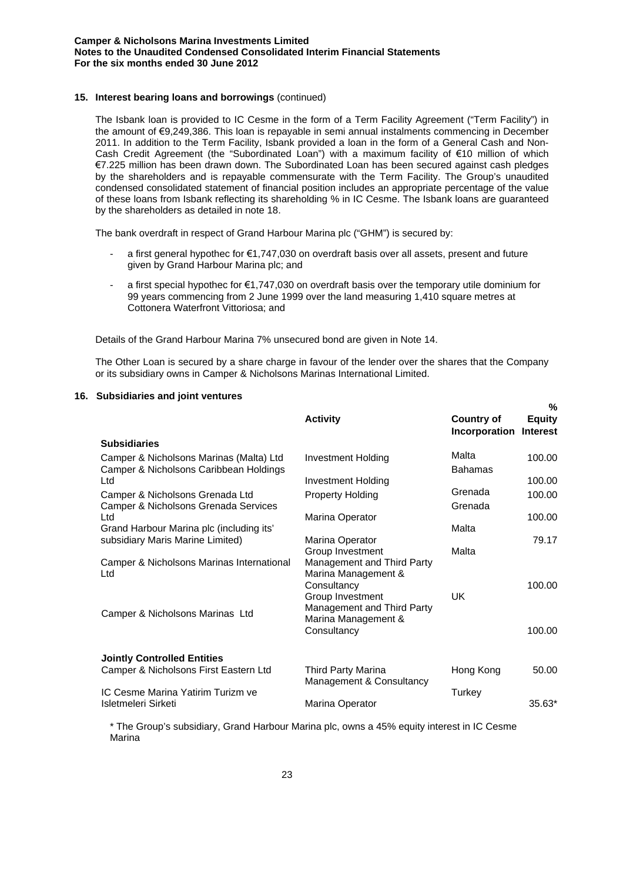## **15. Interest bearing loans and borrowings** (continued)

The Isbank loan is provided to IC Cesme in the form of a Term Facility Agreement ("Term Facility") in the amount of €9,249,386. This loan is repayable in semi annual instalments commencing in December 2011. In addition to the Term Facility, Isbank provided a loan in the form of a General Cash and Non-Cash Credit Agreement (the "Subordinated Loan") with a maximum facility of €10 million of which €7.225 million has been drawn down. The Subordinated Loan has been secured against cash pledges by the shareholders and is repayable commensurate with the Term Facility. The Group's unaudited condensed consolidated statement of financial position includes an appropriate percentage of the value of these loans from Isbank reflecting its shareholding % in IC Cesme. The Isbank loans are guaranteed by the shareholders as detailed in note 18.

The bank overdraft in respect of Grand Harbour Marina plc ("GHM") is secured by:

- a first general hypothec for €1,747,030 on overdraft basis over all assets, present and future given by Grand Harbour Marina plc; and
- a first special hypothec for €1,747,030 on overdraft basis over the temporary utile dominium for 99 years commencing from 2 June 1999 over the land measuring 1,410 square metres at Cottonera Waterfront Vittoriosa; and

Details of the Grand Harbour Marina 7% unsecured bond are given in Note 14.

The Other Loan is secured by a share charge in favour of the lender over the shares that the Company or its subsidiary owns in Camper & Nicholsons Marinas International Limited.

**%**

#### **16. Subsidiaries and joint ventures**

|                                                                                   | <b>Activity</b>                                                                      | <b>Country of</b><br>Incorporation | "∕∘<br><b>Equity</b><br><b>Interest</b> |
|-----------------------------------------------------------------------------------|--------------------------------------------------------------------------------------|------------------------------------|-----------------------------------------|
| <b>Subsidiaries</b>                                                               |                                                                                      |                                    |                                         |
| Camper & Nicholsons Marinas (Malta) Ltd<br>Camper & Nicholsons Caribbean Holdings | <b>Investment Holding</b>                                                            | Malta<br><b>Bahamas</b>            | 100.00                                  |
| Ltd                                                                               | <b>Investment Holding</b>                                                            |                                    | 100.00                                  |
| Camper & Nicholsons Grenada Ltd                                                   | <b>Property Holding</b>                                                              | Grenada                            | 100.00                                  |
| Camper & Nicholsons Grenada Services                                              |                                                                                      | Grenada                            |                                         |
| Ltd                                                                               | Marina Operator                                                                      |                                    | 100.00                                  |
| Grand Harbour Marina plc (including its'                                          |                                                                                      | Malta                              |                                         |
| subsidiary Maris Marine Limited)                                                  | Marina Operator<br>Group Investment                                                  | Malta                              | 79.17                                   |
| Camper & Nicholsons Marinas International<br>Ltd                                  | Management and Third Party<br>Marina Management &<br>Consultancy                     |                                    | 100.00                                  |
| Camper & Nicholsons Marinas Ltd                                                   | Group Investment<br>Management and Third Party<br>Marina Management &<br>Consultancy | UK                                 | 100.00                                  |
| <b>Jointly Controlled Entities</b>                                                |                                                                                      |                                    |                                         |
| Camper & Nicholsons First Eastern Ltd                                             | Third Party Marina                                                                   | Hong Kong                          | 50.00                                   |
|                                                                                   | Management & Consultancy                                                             |                                    |                                         |
| IC Cesme Marina Yatirim Turizm ve<br>Isletmeleri Sirketi                          | Marina Operator                                                                      | Turkey                             | $35.63*$                                |

\* The Group's subsidiary, Grand Harbour Marina plc, owns a 45% equity interest in IC Cesme Marina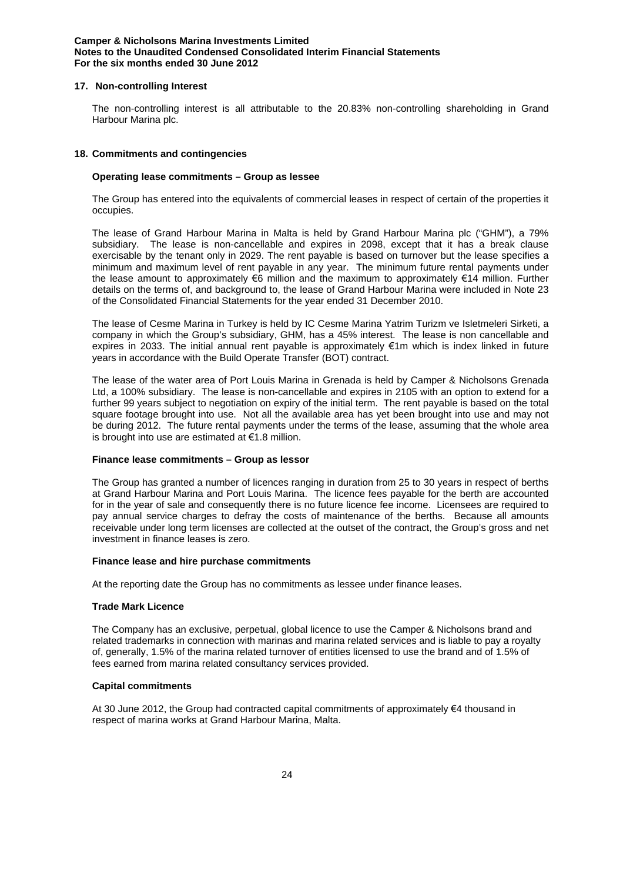### **Camper & Nicholsons Marina Investments Limited Notes to the Unaudited Condensed Consolidated Interim Financial Statements For the six months ended 30 June 2012**

### **17. Non-controlling Interest**

The non-controlling interest is all attributable to the 20.83% non-controlling shareholding in Grand Harbour Marina plc.

### **18. Commitments and contingencies**

### **Operating lease commitments – Group as lessee**

The Group has entered into the equivalents of commercial leases in respect of certain of the properties it occupies.

The lease of Grand Harbour Marina in Malta is held by Grand Harbour Marina plc ("GHM"), a 79% subsidiary. The lease is non-cancellable and expires in 2098, except that it has a break clause exercisable by the tenant only in 2029. The rent payable is based on turnover but the lease specifies a minimum and maximum level of rent payable in any year. The minimum future rental payments under the lease amount to approximately €6 million and the maximum to approximately €14 million. Further details on the terms of, and background to, the lease of Grand Harbour Marina were included in Note 23 of the Consolidated Financial Statements for the year ended 31 December 2010.

The lease of Cesme Marina in Turkey is held by IC Cesme Marina Yatrim Turizm ve Isletmeleri Sirketi, a company in which the Group's subsidiary, GHM, has a 45% interest. The lease is non cancellable and expires in 2033. The initial annual rent payable is approximately €1m which is index linked in future years in accordance with the Build Operate Transfer (BOT) contract.

The lease of the water area of Port Louis Marina in Grenada is held by Camper & Nicholsons Grenada Ltd, a 100% subsidiary. The lease is non-cancellable and expires in 2105 with an option to extend for a further 99 years subject to negotiation on expiry of the initial term. The rent payable is based on the total square footage brought into use. Not all the available area has yet been brought into use and may not be during 2012. The future rental payments under the terms of the lease, assuming that the whole area is brought into use are estimated at €1.8 million.

### **Finance lease commitments – Group as lessor**

The Group has granted a number of licences ranging in duration from 25 to 30 years in respect of berths at Grand Harbour Marina and Port Louis Marina. The licence fees payable for the berth are accounted for in the year of sale and consequently there is no future licence fee income. Licensees are required to pay annual service charges to defray the costs of maintenance of the berths. Because all amounts receivable under long term licenses are collected at the outset of the contract, the Group's gross and net investment in finance leases is zero.

### **Finance lease and hire purchase commitments**

At the reporting date the Group has no commitments as lessee under finance leases.

# **Trade Mark Licence**

The Company has an exclusive, perpetual, global licence to use the Camper & Nicholsons brand and related trademarks in connection with marinas and marina related services and is liable to pay a royalty of, generally, 1.5% of the marina related turnover of entities licensed to use the brand and of 1.5% of fees earned from marina related consultancy services provided.

# **Capital commitments**

At 30 June 2012, the Group had contracted capital commitments of approximately €4 thousand in respect of marina works at Grand Harbour Marina, Malta.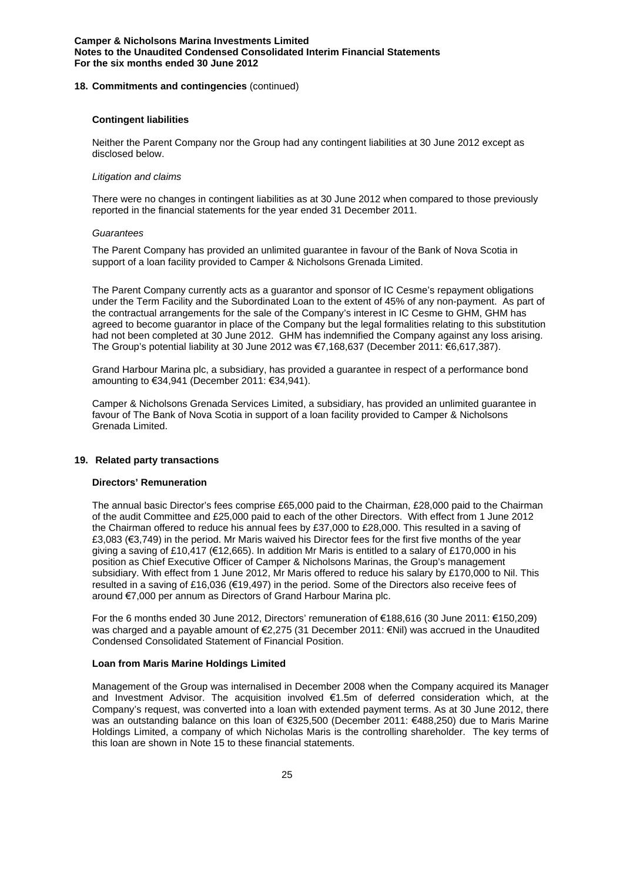### **18. Commitments and contingencies** (continued)

### **Contingent liabilities**

Neither the Parent Company nor the Group had any contingent liabilities at 30 June 2012 except as disclosed below.

### *Litigation and claims*

There were no changes in contingent liabilities as at 30 June 2012 when compared to those previously reported in the financial statements for the year ended 31 December 2011.

### *Guarantees*

The Parent Company has provided an unlimited guarantee in favour of the Bank of Nova Scotia in support of a loan facility provided to Camper & Nicholsons Grenada Limited.

The Parent Company currently acts as a guarantor and sponsor of IC Cesme's repayment obligations under the Term Facility and the Subordinated Loan to the extent of 45% of any non-payment. As part of the contractual arrangements for the sale of the Company's interest in IC Cesme to GHM, GHM has agreed to become guarantor in place of the Company but the legal formalities relating to this substitution had not been completed at 30 June 2012. GHM has indemnified the Company against any loss arising. The Group's potential liability at 30 June 2012 was €7,168,637 (December 2011: €6,617,387).

Grand Harbour Marina plc, a subsidiary, has provided a guarantee in respect of a performance bond amounting to €34,941 (December 2011: €34,941).

Camper & Nicholsons Grenada Services Limited, a subsidiary, has provided an unlimited guarantee in favour of The Bank of Nova Scotia in support of a loan facility provided to Camper & Nicholsons Grenada Limited.

### **19. Related party transactions**

# **Directors' Remuneration**

The annual basic Director's fees comprise £65,000 paid to the Chairman, £28,000 paid to the Chairman of the audit Committee and £25,000 paid to each of the other Directors. With effect from 1 June 2012 the Chairman offered to reduce his annual fees by £37,000 to £28,000. This resulted in a saving of £3,083 (€3,749) in the period. Mr Maris waived his Director fees for the first five months of the year giving a saving of £10,417 (€12,665). In addition Mr Maris is entitled to a salary of £170,000 in his position as Chief Executive Officer of Camper & Nicholsons Marinas, the Group's management subsidiary. With effect from 1 June 2012, Mr Maris offered to reduce his salary by £170,000 to Nil. This resulted in a saving of £16,036 (€19,497) in the period. Some of the Directors also receive fees of around €7,000 per annum as Directors of Grand Harbour Marina plc.

For the 6 months ended 30 June 2012, Directors' remuneration of €188,616 (30 June 2011: €150,209) was charged and a payable amount of €2,275 (31 December 2011: €Nil) was accrued in the Unaudited Condensed Consolidated Statement of Financial Position.

# **Loan from Maris Marine Holdings Limited**

Management of the Group was internalised in December 2008 when the Company acquired its Manager and Investment Advisor. The acquisition involved €1.5m of deferred consideration which, at the Company's request, was converted into a loan with extended payment terms. As at 30 June 2012, there was an outstanding balance on this loan of €325,500 (December 2011: €488,250) due to Maris Marine Holdings Limited, a company of which Nicholas Maris is the controlling shareholder. The key terms of this loan are shown in Note 15 to these financial statements.